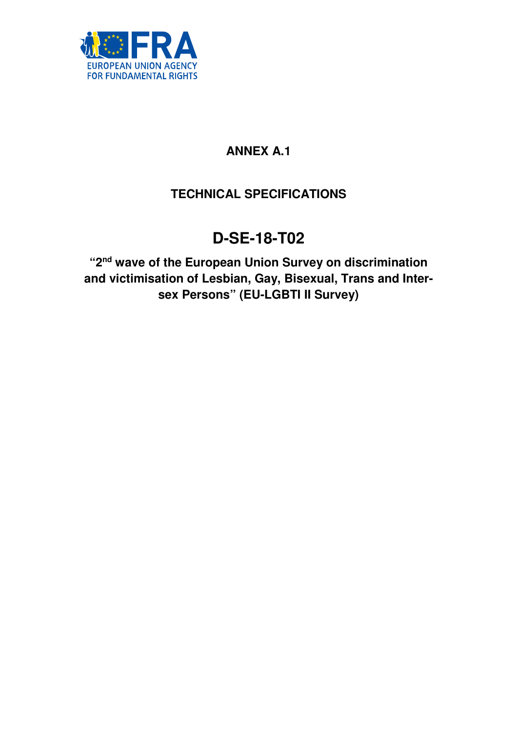

## **ANNEX A.1**

## **TECHNICAL SPECIFICATIONS**

# **D-SE-18-T02**

**"2nd wave of the European Union Survey on discrimination and victimisation of Lesbian, Gay, Bisexual, Trans and Intersex Persons" (EU-LGBTI II Survey)**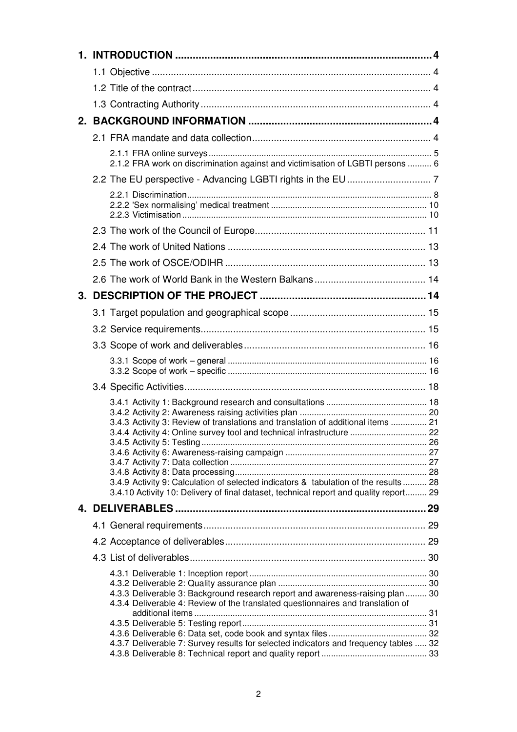| 2.1.2 FRA work on discrimination against and victimisation of LGBTI persons  6                                                                                                                                                                                                                                                             |  |
|--------------------------------------------------------------------------------------------------------------------------------------------------------------------------------------------------------------------------------------------------------------------------------------------------------------------------------------------|--|
|                                                                                                                                                                                                                                                                                                                                            |  |
|                                                                                                                                                                                                                                                                                                                                            |  |
|                                                                                                                                                                                                                                                                                                                                            |  |
|                                                                                                                                                                                                                                                                                                                                            |  |
|                                                                                                                                                                                                                                                                                                                                            |  |
|                                                                                                                                                                                                                                                                                                                                            |  |
|                                                                                                                                                                                                                                                                                                                                            |  |
|                                                                                                                                                                                                                                                                                                                                            |  |
|                                                                                                                                                                                                                                                                                                                                            |  |
|                                                                                                                                                                                                                                                                                                                                            |  |
|                                                                                                                                                                                                                                                                                                                                            |  |
|                                                                                                                                                                                                                                                                                                                                            |  |
| 3.4.3 Activity 3: Review of translations and translation of additional items  21<br>3.4.4 Activity 4: Online survey tool and technical infrastructure  22<br>3.4.9 Activity 9: Calculation of selected indicators & tabulation of the results  28<br>3.4.10 Activity 10: Delivery of final dataset, technical report and quality report 29 |  |
|                                                                                                                                                                                                                                                                                                                                            |  |
|                                                                                                                                                                                                                                                                                                                                            |  |
|                                                                                                                                                                                                                                                                                                                                            |  |
|                                                                                                                                                                                                                                                                                                                                            |  |
| 4.3.3 Deliverable 3: Background research report and awareness-raising plan  30<br>4.3.4 Deliverable 4: Review of the translated questionnaires and translation of                                                                                                                                                                          |  |
|                                                                                                                                                                                                                                                                                                                                            |  |
| 4.3.7 Deliverable 7: Survey results for selected indicators and frequency tables  32                                                                                                                                                                                                                                                       |  |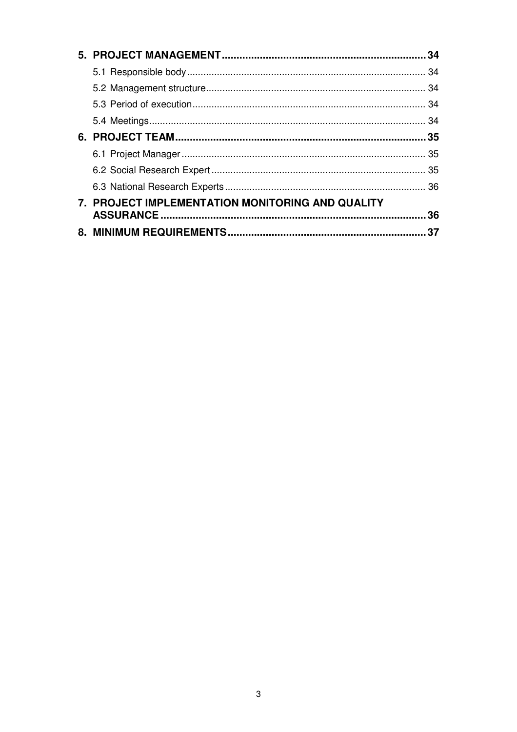| 7. PROJECT IMPLEMENTATION MONITORING AND QUALITY |     |
|--------------------------------------------------|-----|
|                                                  | .36 |
|                                                  | 37  |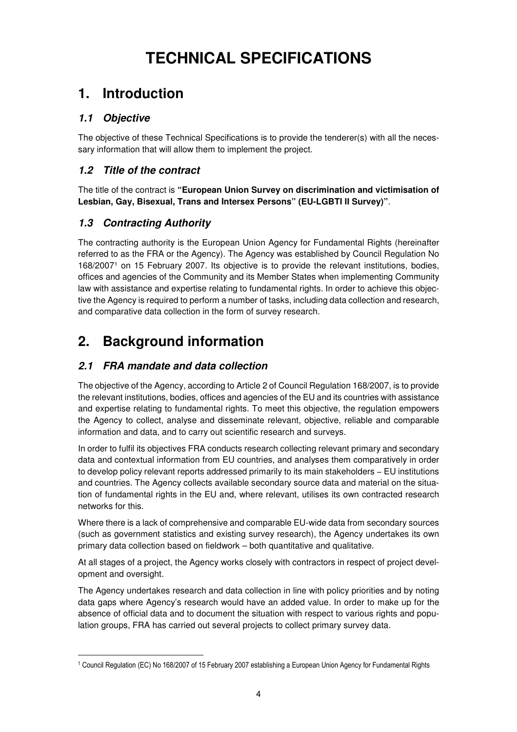# **TECHNICAL SPECIFICATIONS**

## **1. Introduction**

## **1.1 Objective**

The objective of these Technical Specifications is to provide the tenderer(s) with all the necessary information that will allow them to implement the project.

## **1.2 Title of the contract**

The title of the contract is **"European Union Survey on discrimination and victimisation of Lesbian, Gay, Bisexual, Trans and Intersex Persons" (EU-LGBTI II Survey)"**.

## **1.3 Contracting Authority**

The contracting authority is the European Union Agency for Fundamental Rights (hereinafter referred to as the FRA or the Agency). The Agency was established by Council Regulation No 168/2007<sup>1</sup> on 15 February 2007. Its objective is to provide the relevant institutions, bodies, offices and agencies of the Community and its Member States when implementing Community law with assistance and expertise relating to fundamental rights. In order to achieve this objective the Agency is required to perform a number of tasks, including data collection and research, and comparative data collection in the form of survey research.

## **2. Background information**

## **2.1 FRA mandate and data collection**

The objective of the Agency, according to Article 2 of Council Regulation 168/2007, is to provide the relevant institutions, bodies, offices and agencies of the EU and its countries with assistance and expertise relating to fundamental rights. To meet this objective, the regulation empowers the Agency to collect, analyse and disseminate relevant, objective, reliable and comparable information and data, and to carry out scientific research and surveys.

In order to fulfil its objectives FRA conducts research collecting relevant primary and secondary data and contextual information from EU countries, and analyses them comparatively in order to develop policy relevant reports addressed primarily to its main stakeholders − EU institutions and countries. The Agency collects available secondary source data and material on the situation of fundamental rights in the EU and, where relevant, utilises its own contracted research networks for this.

Where there is a lack of comprehensive and comparable EU-wide data from secondary sources (such as government statistics and existing survey research), the Agency undertakes its own primary data collection based on fieldwork – both quantitative and qualitative.

At all stages of a project, the Agency works closely with contractors in respect of project development and oversight.

The Agency undertakes research and data collection in line with policy priorities and by noting data gaps where Agency's research would have an added value. In order to make up for the absence of official data and to document the situation with respect to various rights and population groups, FRA has carried out several projects to collect primary survey data.

 1 Council Regulation (EC) No 168/2007 of 15 February 2007 establishing a European Union Agency for Fundamental Rights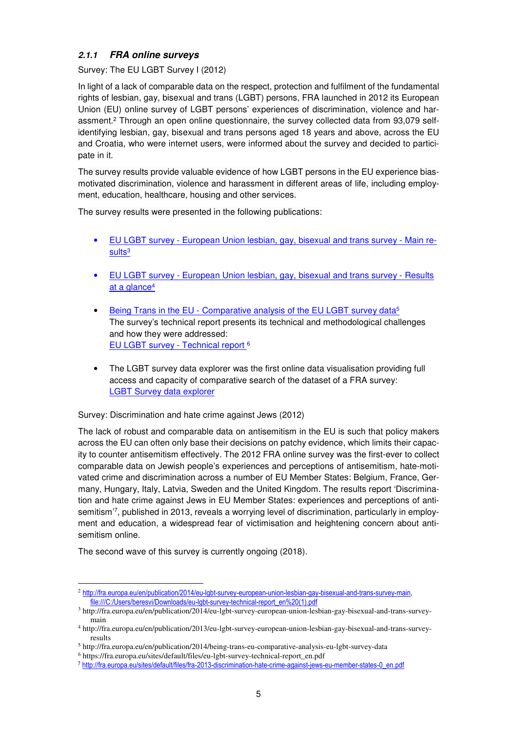#### **2.1.1 FRA online surveys**

#### Survey: The EU LGBT Survey I (2012)

In light of a lack of comparable data on the respect, protection and fulfilment of the fundamental rights of lesbian, gay, bisexual and trans (LGBT) persons, FRA launched in 2012 its European Union (EU) online survey of LGBT persons' experiences of discrimination, violence and harassment.<sup>2</sup> Through an open online questionnaire, the survey collected data from 93,079 selfidentifying lesbian, gay, bisexual and trans persons aged 18 years and above, across the EU and Croatia, who were internet users, were informed about the survey and decided to participate in it.

The survey results provide valuable evidence of how LGBT persons in the EU experience biasmotivated discrimination, violence and harassment in different areas of life, including employment, education, healthcare, housing and other services.

The survey results were presented in the following publications:

- EU LGBT survey European Union lesbian, gay, bisexual and trans survey Main results<sup>3</sup>
- EU LGBT survey European Union lesbian, gay, bisexual and trans survey Results at a glance<sup>4</sup>
- Being Trans in the EU Comparative analysis of the EU LGBT survey data<sup>5</sup> The survey's technical report presents its technical and methodological challenges and how they were addressed: EU LGBT survey - Technical report <sup>6</sup>
- The LGBT survey data explorer was the first online data visualisation providing full access and capacity of comparative search of the dataset of a FRA survey: LGBT Survey data explorer

#### Survey: Discrimination and hate crime against Jews (2012)

The lack of robust and comparable data on antisemitism in the EU is such that policy makers across the EU can often only base their decisions on patchy evidence, which limits their capacity to counter antisemitism effectively. The 2012 FRA online survey was the first-ever to collect comparable data on Jewish people's experiences and perceptions of antisemitism, hate-motivated crime and discrimination across a number of EU Member States: Belgium, France, Germany, Hungary, Italy, Latvia, Sweden and the United Kingdom. The results report 'Discrimination and hate crime against Jews in EU Member States: experiences and perceptions of antisemitism'<sup>7</sup> , published in 2013, reveals a worrying level of discrimination, particularly in employment and education, a widespread fear of victimisation and heightening concern about antisemitism online.

The second wave of this survey is currently ongoing (2018).

 $\overline{a}$ 

<sup>2</sup> http://fra.europa.eu/en/publication/2014/eu-lgbt-survey-european-union-lesbian-gay-bisexual-and-trans-survey-main, file:///C:/Users/beresvi/Downloads/eu-lgbt-survey-technical-report\_en%20(1).pdf

<sup>3</sup> http://fra.europa.eu/en/publication/2014/eu-lgbt-survey-european-union-lesbian-gay-bisexual-and-trans-surveymain

<sup>4</sup> http://fra.europa.eu/en/publication/2013/eu-lgbt-survey-european-union-lesbian-gay-bisexual-and-trans-surveyresults

<sup>5</sup> http://fra.europa.eu/en/publication/2014/being-trans-eu-comparative-analysis-eu-lgbt-survey-data

<sup>6</sup> https://fra.europa.eu/sites/default/files/eu-lgbt-survey-technical-report\_en.pdf

<sup>7</sup> http://fra.europa.eu/sites/default/files/fra-2013-discrimination-hate-crime-against-jews-eu-member-states-0\_en.pdf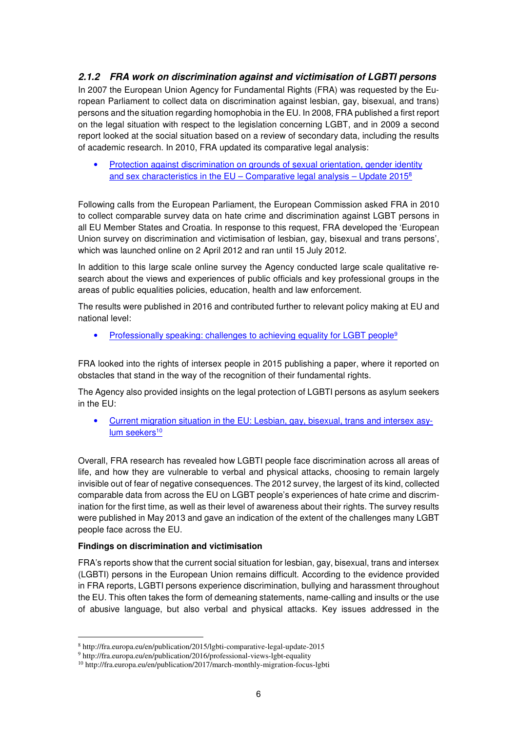## **2.1.2 FRA work on discrimination against and victimisation of LGBTI persons**

In 2007 the European Union Agency for Fundamental Rights (FRA) was requested by the European Parliament to collect data on discrimination against lesbian, gay, bisexual, and trans) persons and the situation regarding homophobia in the EU. In 2008, FRA published a first report on the legal situation with respect to the legislation concerning LGBT, and in 2009 a second report looked at the social situation based on a review of secondary data, including the results of academic research. In 2010, FRA updated its comparative legal analysis:

Protection against discrimination on grounds of sexual orientation, gender identity and sex characteristics in the EU – Comparative legal analysis – Update  $2015<sup>8</sup>$ 

Following calls from the European Parliament, the European Commission asked FRA in 2010 to collect comparable survey data on hate crime and discrimination against LGBT persons in all EU Member States and Croatia. In response to this request, FRA developed the 'European Union survey on discrimination and victimisation of lesbian, gay, bisexual and trans persons', which was launched online on 2 April 2012 and ran until 15 July 2012.

In addition to this large scale online survey the Agency conducted large scale qualitative research about the views and experiences of public officials and key professional groups in the areas of public equalities policies, education, health and law enforcement.

The results were published in 2016 and contributed further to relevant policy making at EU and national level:

Professionally speaking: challenges to achieving equality for LGBT people<sup>9</sup>

FRA looked into the rights of intersex people in 2015 publishing a paper, where it reported on obstacles that stand in the way of the recognition of their fundamental rights.

The Agency also provided insights on the legal protection of LGBTI persons as asylum seekers in the EU:

• Current migration situation in the EU: Lesbian, gay, bisexual, trans and intersex asylum seekers<sup>10</sup>

Overall, FRA research has revealed how LGBTI people face discrimination across all areas of life, and how they are vulnerable to verbal and physical attacks, choosing to remain largely invisible out of fear of negative consequences. The 2012 survey, the largest of its kind, collected comparable data from across the EU on LGBT people's experiences of hate crime and discrimination for the first time, as well as their level of awareness about their rights. The survey results were published in May 2013 and gave an indication of the extent of the challenges many LGBT people face across the EU.

#### **Findings on discrimination and victimisation**

 $\overline{a}$ 

FRA's reports show that the current social situation for lesbian, gay, bisexual, trans and intersex (LGBTI) persons in the European Union remains difficult. According to the evidence provided in FRA reports, LGBTI persons experience discrimination, bullying and harassment throughout the EU. This often takes the form of demeaning statements, name-calling and insults or the use of abusive language, but also verbal and physical attacks. Key issues addressed in the

<sup>8</sup> http://fra.europa.eu/en/publication/2015/lgbti-comparative-legal-update-2015

<sup>&</sup>lt;sup>9</sup> http://fra.europa.eu/en/publication/2016/professional-views-lgbt-equality

<sup>10</sup> http://fra.europa.eu/en/publication/2017/march-monthly-migration-focus-lgbti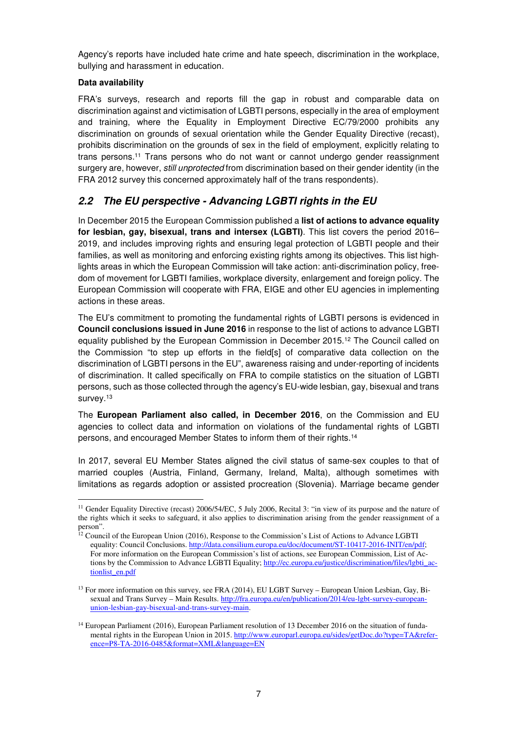Agency's reports have included hate crime and hate speech, discrimination in the workplace, bullying and harassment in education.

#### **Data availability**

FRA's surveys, research and reports fill the gap in robust and comparable data on discrimination against and victimisation of LGBTI persons, especially in the area of employment and training, where the Equality in Employment Directive EC/79/2000 prohibits any discrimination on grounds of sexual orientation while the Gender Equality Directive (recast), prohibits discrimination on the grounds of sex in the field of employment, explicitly relating to trans persons.<sup>11</sup> Trans persons who do not want or cannot undergo gender reassignment surgery are, however, *still unprotected* from discrimination based on their gender identity (in the FRA 2012 survey this concerned approximately half of the trans respondents).

## **2.2 The EU perspective - Advancing LGBTI rights in the EU**

In December 2015 the European Commission published a **list of actions to advance equality for lesbian, gay, bisexual, trans and intersex (LGBTI)**. This list covers the period 2016– 2019, and includes improving rights and ensuring legal protection of LGBTI people and their families, as well as monitoring and enforcing existing rights among its objectives. This list highlights areas in which the European Commission will take action: anti-discrimination policy, freedom of movement for LGBTI families, workplace diversity, enlargement and foreign policy. The European Commission will cooperate with FRA, EIGE and other EU agencies in implementing actions in these areas.

The EU's commitment to promoting the fundamental rights of LGBTI persons is evidenced in **Council conclusions issued in June 2016** in response to the list of actions to advance LGBTI equality published by the European Commission in December 2015.<sup>12</sup> The Council called on the Commission "to step up efforts in the field[s] of comparative data collection on the discrimination of LGBTI persons in the EU", awareness raising and under-reporting of incidents of discrimination. It called specifically on FRA to compile statistics on the situation of LGBTI persons, such as those collected through the agency's EU-wide lesbian, gay, bisexual and trans survey.<sup>13</sup>

The **European Parliament also called, in December 2016**, on the Commission and EU agencies to collect data and information on violations of the fundamental rights of LGBTI persons, and encouraged Member States to inform them of their rights.<sup>14</sup>

In 2017, several EU Member States aligned the civil status of same-sex couples to that of married couples (Austria, Finland, Germany, Ireland, Malta), although sometimes with limitations as regards adoption or assisted procreation (Slovenia). Marriage became gender

 $\overline{a}$ <sup>11</sup> Gender Equality Directive (recast) 2006/54/EC, 5 July 2006, Recital 3: "in view of its purpose and the nature of the rights which it seeks to safeguard, it also applies to discrimination arising from the gender reassignment of a person".

<sup>&</sup>lt;sup>12</sup> Council of the European Union (2016), Response to the Commission's List of Actions to Advance LGBTI equality: Council Conclusions. http://data.consilium.europa.eu/doc/document/ST-10417-2016-INIT/en/pdf; For more information on the European Commission's list of actions, see European Commission, List of Actions by the Commission to Advance LGBTI Equality; http://ec.europa.eu/justice/discrimination/files/lgbti\_actionlist\_en.pdf

<sup>&</sup>lt;sup>13</sup> For more information on this survey, see FRA (2014), EU LGBT Survey – European Union Lesbian, Gay, Bisexual and Trans Survey – Main Results. http://fra.europa.eu/en/publication/2014/eu-lgbt-survey-europeanunion-lesbian-gay-bisexual-and-trans-survey-main.

<sup>&</sup>lt;sup>14</sup> European Parliament (2016), European Parliament resolution of 13 December 2016 on the situation of fundamental rights in the European Union in 2015. http://www.europarl.europa.eu/sides/getDoc.do?type=TA&reference=P8-TA-2016-0485&format=XML&language=EN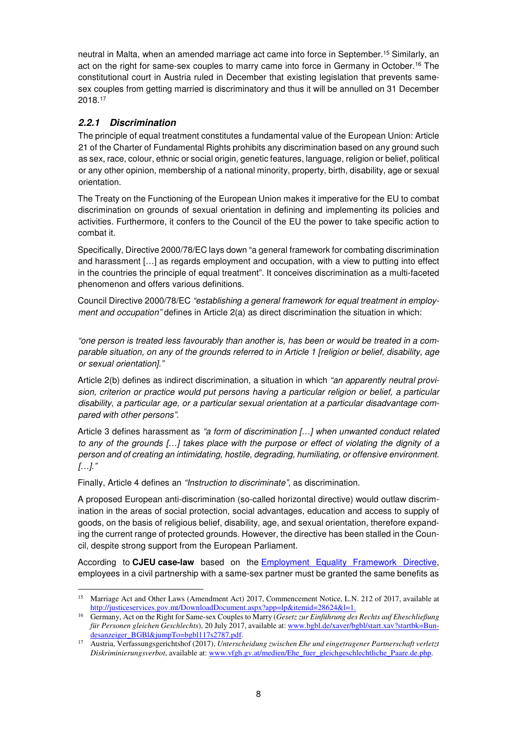neutral in Malta, when an amended marriage act came into force in September.<sup>15</sup> Similarly, an act on the right for same-sex couples to marry came into force in Germany in October.<sup>16</sup> The constitutional court in Austria ruled in December that existing legislation that prevents samesex couples from getting married is discriminatory and thus it will be annulled on 31 December 2018.<sup>17</sup>

## **2.2.1 Discrimination**

The principle of equal treatment constitutes a fundamental value of the European Union: Article 21 of the Charter of Fundamental Rights prohibits any discrimination based on any ground such as sex, race, colour, ethnic or social origin, genetic features, language, religion or belief, political or any other opinion, membership of a national minority, property, birth, disability, age or sexual orientation.

The Treaty on the Functioning of the European Union makes it imperative for the EU to combat discrimination on grounds of sexual orientation in defining and implementing its policies and activities. Furthermore, it confers to the Council of the EU the power to take specific action to combat it.

Specifically, Directive 2000/78/EC lays down "a general framework for combating discrimination and harassment […] as regards employment and occupation, with a view to putting into effect in the countries the principle of equal treatment". It conceives discrimination as a multi-faceted phenomenon and offers various definitions.

Council Directive 2000/78/EC "establishing a general framework for equal treatment in employment and occupation" defines in Article 2(a) as direct discrimination the situation in which:

"one person is treated less favourably than another is, has been or would be treated in a comparable situation, on any of the grounds referred to in Article 1 [religion or belief, disability, age or sexual orientation]."

Article 2(b) defines as indirect discrimination, a situation in which "an apparently neutral provision, criterion or practice would put persons having a particular religion or belief, a particular disability, a particular age, or a particular sexual orientation at a particular disadvantage compared with other persons".

Article 3 defines harassment as "a form of discrimination [...] when unwanted conduct related to any of the grounds […] takes place with the purpose or effect of violating the dignity of a person and of creating an intimidating, hostile, degrading, humiliating, or offensive environment. […]."

Finally, Article 4 defines an "Instruction to discriminate", as discrimination.

A proposed European anti-discrimination (so-called horizontal directive) would outlaw discrimination in the areas of social protection, social advantages, education and access to supply of goods, on the basis of religious belief, disability, age, and sexual orientation, therefore expanding the current range of protected grounds. However, the directive has been stalled in the Council, despite strong support from the European Parliament.

According to **CJEU case-law** based on the Employment Equality Framework Directive, employees in a civil partnership with a same-sex partner must be granted the same benefits as

 $\overline{a}$ <sup>15</sup> Marriage Act and Other Laws (Amendment Act) 2017, Commencement Notice, L.N. 212 of 2017, available at http://justiceservices.gov.mt/DownloadDocument.aspx?app=lp&itemid=28624&l=1.

<sup>16</sup> Germany, Act on the Right for Same-sex Couples to Marry (*Gesetz zur Einführung des Rechts auf Eheschließung für Personen gleichen Geschlechts*), 20 July 2017, available at: www.bgbl.de/xaver/bgbl/start.xav?startbk=Bundesanzeiger\_BGBl&jumpTo=bgbl117s2787.pdf.

<sup>17</sup> Austria, Verfassungsgerichtshof (2017), *Unterscheidung zwischen Ehe und eingetragener Partnerschaft verletzt Diskriminierungsverbot*, available at: www.vfgh.gv.at/medien/Ehe\_fuer\_gleichgeschlechtliche\_Paare.de.php.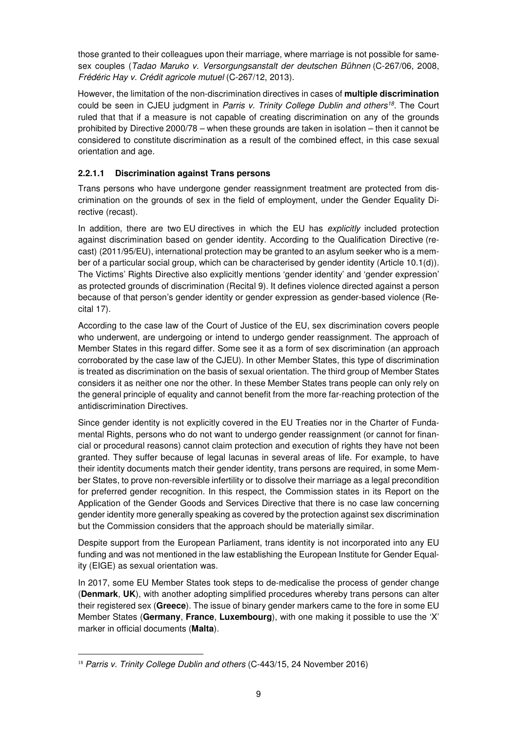those granted to their colleagues upon their marriage, where marriage is not possible for samesex couples (Tadao Maruko v. Versorgungsanstalt der deutschen Bühnen (C-267/06, 2008, Frédéric Hay v. Crédit agricole mutuel (C-267/12, 2013).

However, the limitation of the non-discrimination directives in cases of **multiple discrimination** could be seen in CJEU judgment in Parris v. Trinity College Dublin and others<sup>18</sup>. The Court ruled that that if a measure is not capable of creating discrimination on any of the grounds prohibited by Directive 2000/78 – when these grounds are taken in isolation – then it cannot be considered to constitute discrimination as a result of the combined effect, in this case sexual orientation and age.

### **2.2.1.1 Discrimination against Trans persons**

Trans persons who have undergone gender reassignment treatment are protected from discrimination on the grounds of sex in the field of employment, under the Gender Equality Directive (recast).

In addition, there are two EU directives in which the EU has explicitly included protection against discrimination based on gender identity. According to the Qualification Directive (recast) (2011/95/EU), international protection may be granted to an asylum seeker who is a member of a particular social group, which can be characterised by gender identity (Article 10.1(d)). The Victims' Rights Directive also explicitly mentions 'gender identity' and 'gender expression' as protected grounds of discrimination (Recital 9). It defines violence directed against a person because of that person's gender identity or gender expression as gender-based violence (Recital 17).

According to the case law of the Court of Justice of the EU, sex discrimination covers people who underwent, are undergoing or intend to undergo gender reassignment. The approach of Member States in this regard differ. Some see it as a form of sex discrimination (an approach corroborated by the case law of the CJEU). In other Member States, this type of discrimination is treated as discrimination on the basis of sexual orientation. The third group of Member States considers it as neither one nor the other. In these Member States trans people can only rely on the general principle of equality and cannot benefit from the more far-reaching protection of the antidiscrimination Directives.

Since gender identity is not explicitly covered in the EU Treaties nor in the Charter of Fundamental Rights, persons who do not want to undergo gender reassignment (or cannot for financial or procedural reasons) cannot claim protection and execution of rights they have not been granted. They suffer because of legal lacunas in several areas of life. For example, to have their identity documents match their gender identity, trans persons are required, in some Member States, to prove non-reversible infertility or to dissolve their marriage as a legal precondition for preferred gender recognition. In this respect, the Commission states in its Report on the Application of the Gender Goods and Services Directive that there is no case law concerning gender identity more generally speaking as covered by the protection against sex discrimination but the Commission considers that the approach should be materially similar.

Despite support from the European Parliament, trans identity is not incorporated into any EU funding and was not mentioned in the law establishing the European Institute for Gender Equality (EIGE) as sexual orientation was.

In 2017, some EU Member States took steps to de-medicalise the process of gender change (**Denmark**, **UK**), with another adopting simplified procedures whereby trans persons can alter their registered sex (**Greece**). The issue of binary gender markers came to the fore in some EU Member States (**Germany**, **France**, **Luxembourg**), with one making it possible to use the 'X' marker in official documents (**Malta**).

 $\overline{a}$ <sup>18</sup> Parris v. Trinity College Dublin and others (C-443/15, 24 November 2016)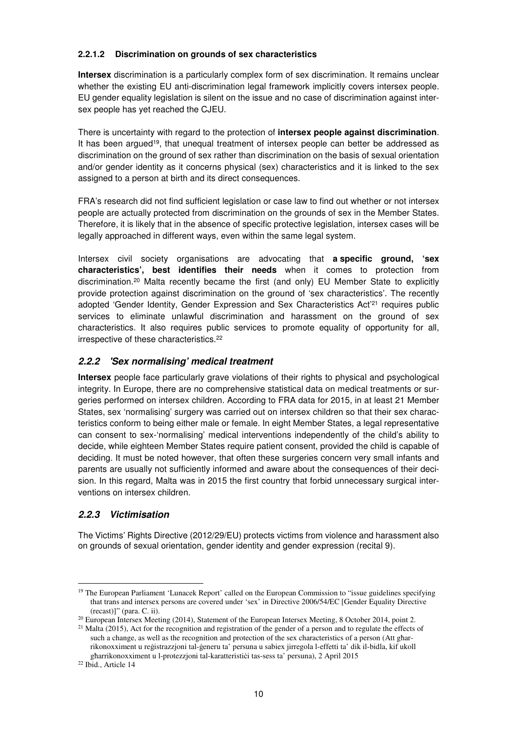#### **2.2.1.2 Discrimination on grounds of sex characteristics**

**Intersex** discrimination is a particularly complex form of sex discrimination. It remains unclear whether the existing EU anti-discrimination legal framework implicitly covers intersex people. EU gender equality legislation is silent on the issue and no case of discrimination against intersex people has yet reached the CJEU.

There is uncertainty with regard to the protection of **intersex people against discrimination**. It has been argued<sup>19</sup>, that unequal treatment of intersex people can better be addressed as discrimination on the ground of sex rather than discrimination on the basis of sexual orientation and/or gender identity as it concerns physical (sex) characteristics and it is linked to the sex assigned to a person at birth and its direct consequences.

FRA's research did not find sufficient legislation or case law to find out whether or not intersex people are actually protected from discrimination on the grounds of sex in the Member States. Therefore, it is likely that in the absence of specific protective legislation, intersex cases will be legally approached in different ways, even within the same legal system.

Intersex civil society organisations are advocating that **a specific ground, 'sex characteristics', best identifies their needs** when it comes to protection from discrimination.<sup>20</sup> Malta recently became the first (and only) EU Member State to explicitly provide protection against discrimination on the ground of 'sex characteristics'. The recently adopted 'Gender Identity, Gender Expression and Sex Characteristics Act'<sup>21</sup> requires public services to eliminate unlawful discrimination and harassment on the ground of sex characteristics. It also requires public services to promote equality of opportunity for all, irrespective of these characteristics.<sup>22</sup>

### **2.2.2 'Sex normalising' medical treatment**

**Intersex** people face particularly grave violations of their rights to physical and psychological integrity. In Europe, there are no comprehensive statistical data on medical treatments or surgeries performed on intersex children. According to FRA data for 2015, in at least 21 Member States, sex 'normalising' surgery was carried out on intersex children so that their sex characteristics conform to being either male or female. In eight Member States, a legal representative can consent to sex-'normalising' medical interventions independently of the child's ability to decide, while eighteen Member States require patient consent, provided the child is capable of deciding. It must be noted however, that often these surgeries concern very small infants and parents are usually not sufficiently informed and aware about the consequences of their decision. In this regard, Malta was in 2015 the first country that forbid unnecessary surgical interventions on intersex children.

## **2.2.3 Victimisation**

The Victims' Rights Directive (2012/29/EU) protects victims from violence and harassment also on grounds of sexual orientation, gender identity and gender expression (recital 9).

 $\overline{a}$ 

<sup>&</sup>lt;sup>19</sup> The European Parliament 'Lunacek Report' called on the European Commission to "issue guidelines specifying that trans and intersex persons are covered under 'sex' in Directive 2006/54/EC [Gender Equality Directive (recast)]" (para. C. ii).

<sup>&</sup>lt;sup>20</sup> European Intersex Meeting (2014), Statement of the European Intersex Meeting, 8 October 2014, point 2.

 $21$  Malta (2015), Act for the recognition and registration of the gender of a person and to regulate the effects of such a change, as well as the recognition and protection of the sex characteristics of a person (Att għarrikonoxximent u reġistrazzjoni tal-ġeneru ta' persuna u sabiex jirregola l-effetti ta' dik il-bidla, kif ukoll għarrikonoxximent u l-protezzjoni tal-karatteristiċi tas-sess ta' persuna), 2 April 2015

<sup>&</sup>lt;sup>22</sup> Ibid., Article 14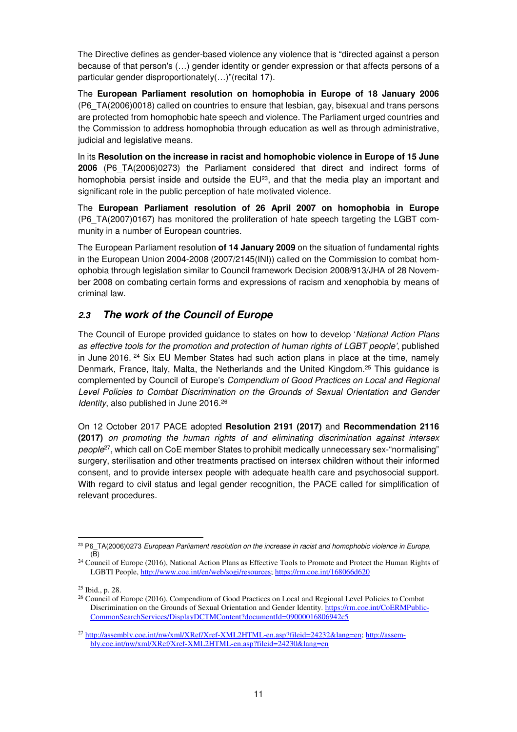The Directive defines as gender-based violence any violence that is "directed against a person because of that person's (…) gender identity or gender expression or that affects persons of a particular gender disproportionately(…)"(recital 17).

The **European Parliament resolution on homophobia in Europe of 18 January 2006** (P6\_TA(2006)0018) called on countries to ensure that lesbian, gay, bisexual and trans persons are protected from homophobic hate speech and violence. The Parliament urged countries and the Commission to address homophobia through education as well as through administrative, judicial and legislative means.

In its **Resolution on the increase in racist and homophobic violence in Europe of 15 June 2006** (P6\_TA(2006)0273) the Parliament considered that direct and indirect forms of homophobia persist inside and outside the  $EU^{23}$ , and that the media play an important and significant role in the public perception of hate motivated violence.

The **European Parliament resolution of 26 April 2007 on homophobia in Europe** (P6\_TA(2007)0167) has monitored the proliferation of hate speech targeting the LGBT community in a number of European countries.

The European Parliament resolution **of 14 January 2009** on the situation of fundamental rights in the European Union 2004-2008 (2007/2145(INI)) called on the Commission to combat homophobia through legislation similar to Council framework Decision 2008/913/JHA of 28 November 2008 on combating certain forms and expressions of racism and xenophobia by means of criminal law.

## **2.3 The work of the Council of Europe**

The Council of Europe provided guidance to states on how to develop 'National Action Plans as effective tools for the promotion and protection of human rights of LGBT people', published in June 2016.<sup>24</sup> Six EU Member States had such action plans in place at the time, namely Denmark, France, Italy, Malta, the Netherlands and the United Kingdom.<sup>25</sup> This guidance is complemented by Council of Europe's Compendium of Good Practices on Local and Regional Level Policies to Combat Discrimination on the Grounds of Sexual Orientation and Gender Identity, also published in June 2016.<sup>26</sup>

On 12 October 2017 PACE adopted **Resolution 2191 (2017)** and **Recommendation 2116 (2017)** on promoting the human rights of and eliminating discrimination against intersex people<sup>27</sup>, which call on CoE member States to prohibit medically unnecessary sex-"normalising" surgery, sterilisation and other treatments practised on intersex children without their informed consent, and to provide intersex people with adequate health care and psychosocial support. With regard to civil status and legal gender recognition, the PACE called for simplification of relevant procedures.

 $\overline{a}$ <sup>23</sup> P6\_TA(2006)0273 European Parliament resolution on the increase in racist and homophobic violence in Europe,  $(\overline{B})$ 

<sup>&</sup>lt;sup>24</sup> Council of Europe (2016), National Action Plans as Effective Tools to Promote and Protect the Human Rights of LGBTI People, http://www.coe.int/en/web/sogi/resources; https://rm.coe.int/168066d620

<sup>25</sup> Ibid., p. 28.

<sup>&</sup>lt;sup>26</sup> Council of Europe (2016), Compendium of Good Practices on Local and Regional Level Policies to Combat Discrimination on the Grounds of Sexual Orientation and Gender Identity. https://rm.coe.int/CoERMPublic-CommonSearchServices/DisplayDCTMContent?documentId=09000016806942c5

<sup>&</sup>lt;sup>27</sup> http://assembly.coe.int/nw/xml/XRef/Xref-XML2HTML-en.asp?fileid=24232&lang=en; http://assembly.coe.int/nw/xml/XRef/Xref-XML2HTML-en.asp?fileid=24230&lang=en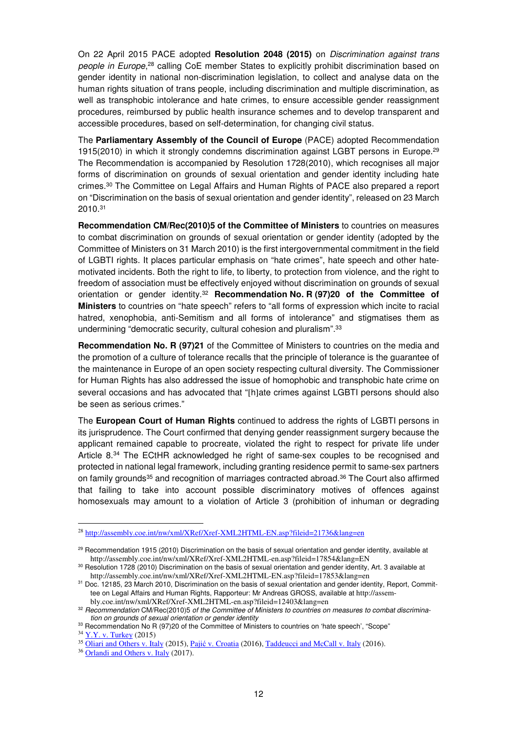On 22 April 2015 PACE adopted **Resolution 2048 (2015)** on Discrimination against trans people in Europe,<sup>28</sup> calling CoE member States to explicitly prohibit discrimination based on gender identity in national non-discrimination legislation, to collect and analyse data on the human rights situation of trans people, including discrimination and multiple discrimination, as well as transphobic intolerance and hate crimes, to ensure accessible gender reassignment procedures, reimbursed by public health insurance schemes and to develop transparent and accessible procedures, based on self-determination, for changing civil status.

The **Parliamentary Assembly of the Council of Europe** (PACE) adopted Recommendation 1915(2010) in which it strongly condemns discrimination against LGBT persons in Europe.<sup>29</sup> The Recommendation is accompanied by Resolution 1728(2010), which recognises all major forms of discrimination on grounds of sexual orientation and gender identity including hate crimes.<sup>30</sup> The Committee on Legal Affairs and Human Rights of PACE also prepared a report on "Discrimination on the basis of sexual orientation and gender identity", released on 23 March 2010.<sup>31</sup>

**Recommendation CM/Rec(2010)5 of the Committee of Ministers** to countries on measures to combat discrimination on grounds of sexual orientation or gender identity (adopted by the Committee of Ministers on 31 March 2010) is the first intergovernmental commitment in the field of LGBTI rights. It places particular emphasis on "hate crimes", hate speech and other hatemotivated incidents. Both the right to life, to liberty, to protection from violence, and the right to freedom of association must be effectively enjoyed without discrimination on grounds of sexual orientation or gender identity.<sup>32</sup> **Recommendation No. R (97)20 of the Committee of Ministers** to countries on "hate speech" refers to "all forms of expression which incite to racial hatred, xenophobia, anti-Semitism and all forms of intolerance" and stigmatises them as undermining "democratic security, cultural cohesion and pluralism".<sup>33</sup>

**Recommendation No. R (97)21** of the Committee of Ministers to countries on the media and the promotion of a culture of tolerance recalls that the principle of tolerance is the guarantee of the maintenance in Europe of an open society respecting cultural diversity. The Commissioner for Human Rights has also addressed the issue of homophobic and transphobic hate crime on several occasions and has advocated that "[h]ate crimes against LGBTI persons should also be seen as serious crimes."

The **European Court of Human Rights** continued to address the rights of LGBTI persons in its jurisprudence. The Court confirmed that denying gender reassignment surgery because the applicant remained capable to procreate, violated the right to respect for private life under Article 8.<sup>34</sup> The ECtHR acknowledged he right of same-sex couples to be recognised and protected in national legal framework, including granting residence permit to same-sex partners on family grounds<sup>35</sup> and recognition of marriages contracted abroad.<sup>36</sup> The Court also affirmed that failing to take into account possible discriminatory motives of offences against homosexuals may amount to a violation of Article 3 (prohibition of inhuman or degrading

 $\overline{a}$ 

<sup>28</sup> http://assembly.coe.int/nw/xml/XRef/Xref-XML2HTML-EN.asp?fileid=21736&lang=en

<sup>&</sup>lt;sup>29</sup> Recommendation 1915 (2010) Discrimination on the basis of sexual orientation and gender identity, available at http://assembly.coe.int/nw/xml/XRef/Xref-XML2HTML-en.asp?fileid=17854&lang=EN

<sup>&</sup>lt;sup>30</sup> Resolution 1728 (2010) Discrimination on the basis of sexual orientation and gender identity, Art. 3 available at http://assembly.coe.int/nw/xml/XRef/Xref-XML2HTML-EN.asp?fileid=17853&lang=en

<sup>&</sup>lt;sup>31</sup> Doc. 12185, 23 March 2010, Discrimination on the basis of sexual orientation and gender identity, Report, Committee on Legal Affairs and Human Rights, Rapporteur: Mr Andreas GROSS, available at http://assembly.coe.int/nw/xml/XRef/Xref-XML2HTML-en.asp?fileid=12403&lang=en

<sup>32</sup> Recommendation CM/Rec(2010)5 of the Committee of Ministers to countries on measures to combat discrimination on grounds of sexual orientation or gender identity

<sup>33</sup> Recommendation No R (97)20 of the Committee of Ministers to countries on 'hate speech', "Scope"

<sup>34</sup> Y.Y. v. Turkey (2015)

<sup>35</sup> Oliari and Others v. Italy (2015), Pajić v. Croatia (2016**)**, Taddeucci and McCall v. Italy (2016).

<sup>36</sup> Orlandi and Others v. Italy (2017).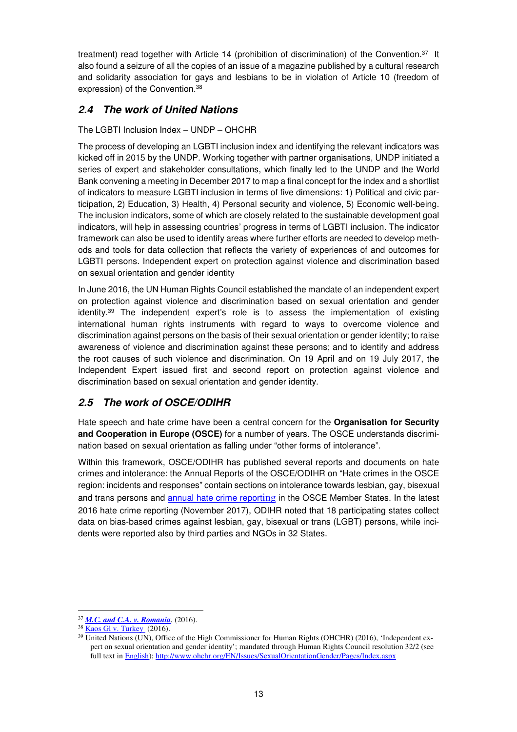treatment) read together with Article 14 (prohibition of discrimination) of the Convention.<sup>37</sup> It also found a seizure of all the copies of an issue of a magazine published by a cultural research and solidarity association for gays and lesbians to be in violation of Article 10 (freedom of expression) of the Convention.<sup>38</sup>

## **2.4 The work of United Nations**

#### The LGBTI Inclusion Index – UNDP – OHCHR

The process of developing an LGBTI inclusion index and identifying the relevant indicators was kicked off in 2015 by the UNDP. Working together with partner organisations, UNDP initiated a series of expert and stakeholder consultations, which finally led to the UNDP and the World Bank convening a meeting in December 2017 to map a final concept for the index and a shortlist of indicators to measure LGBTI inclusion in terms of five dimensions: 1) Political and civic participation, 2) Education, 3) Health, 4) Personal security and violence, 5) Economic well-being. The inclusion indicators, some of which are closely related to the sustainable development goal indicators, will help in assessing countries' progress in terms of LGBTI inclusion. The indicator framework can also be used to identify areas where further efforts are needed to develop methods and tools for data collection that reflects the variety of experiences of and outcomes for LGBTI persons. Independent expert on protection against violence and discrimination based on sexual orientation and gender identity

In June 2016, the UN Human Rights Council established the mandate of an independent expert on protection against violence and discrimination based on sexual orientation and gender identity.<sup>39</sup> The independent expert's role is to assess the implementation of existing international human rights instruments with regard to ways to overcome violence and discrimination against persons on the basis of their sexual orientation or gender identity; to raise awareness of violence and discrimination against these persons; and to identify and address the root causes of such violence and discrimination. On 19 April and on 19 July 2017, the Independent Expert issued first and second report on protection against violence and discrimination based on sexual orientation and gender identity.

## **2.5 The work of OSCE/ODIHR**

Hate speech and hate crime have been a central concern for the **Organisation for Security and Cooperation in Europe (OSCE)** for a number of years. The OSCE understands discrimination based on sexual orientation as falling under "other forms of intolerance".

Within this framework, OSCE/ODIHR has published several reports and documents on hate crimes and intolerance: the Annual Reports of the OSCE/ODIHR on "Hate crimes in the OSCE region: incidents and responses" contain sections on intolerance towards lesbian, gay, bisexual and trans persons and annual hate crime reporting in the OSCE Member States. In the latest 2016 hate crime reporting (November 2017), ODIHR noted that 18 participating states collect data on bias-based crimes against lesbian, gay, bisexual or trans (LGBT) persons, while incidents were reported also by third parties and NGOs in 32 States.

 $\overline{a}$ <sup>37</sup> *M.C. and C.A. v. Romania*, (2016).

<sup>38</sup> Kaos Gl v. Turkey (2016).

<sup>&</sup>lt;sup>39</sup> United Nations (UN), Office of the High Commissioner for Human Rights (OHCHR) (2016), 'Independent expert on sexual orientation and gender identity'; mandated through Human Rights Council resolution 32/2 (see full text in English); http://www.ohchr.org/EN/Issues/SexualOrientationGender/Pages/Index.aspx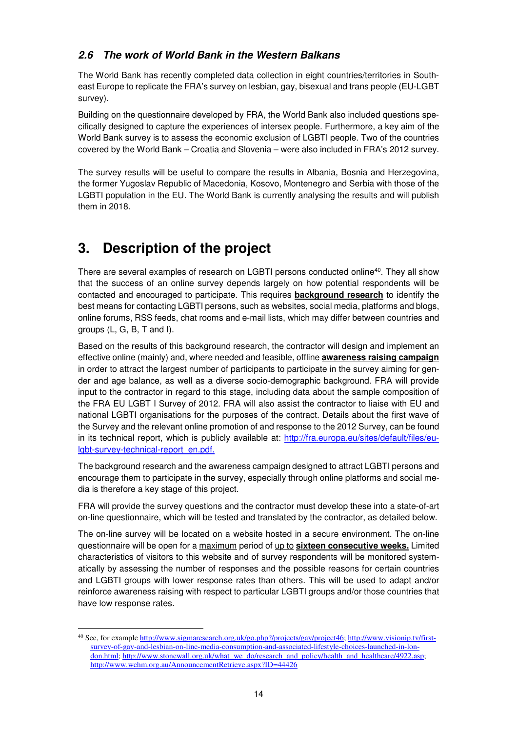## **2.6 The work of World Bank in the Western Balkans**

The World Bank has recently completed data collection in eight countries/territories in Southeast Europe to replicate the FRA's survey on lesbian, gay, bisexual and trans people (EU-LGBT survey).

Building on the questionnaire developed by FRA, the World Bank also included questions specifically designed to capture the experiences of intersex people. Furthermore, a key aim of the World Bank survey is to assess the economic exclusion of LGBTI people. Two of the countries covered by the World Bank – Croatia and Slovenia – were also included in FRA's 2012 survey.

The survey results will be useful to compare the results in Albania, Bosnia and Herzegovina, the former Yugoslav Republic of Macedonia, Kosovo, Montenegro and Serbia with those of the LGBTI population in the EU. The World Bank is currently analysing the results and will publish them in 2018.

## **3. Description of the project**

 $\overline{a}$ 

There are several examples of research on LGBTI persons conducted online<sup>40</sup>. They all show that the success of an online survey depends largely on how potential respondents will be contacted and encouraged to participate. This requires **background research** to identify the best means for contacting LGBTI persons, such as websites, social media, platforms and blogs, online forums, RSS feeds, chat rooms and e-mail lists, which may differ between countries and groups (L, G, B, T and I).

Based on the results of this background research, the contractor will design and implement an effective online (mainly) and, where needed and feasible, offline **awareness raising campaign** in order to attract the largest number of participants to participate in the survey aiming for gender and age balance, as well as a diverse socio-demographic background. FRA will provide input to the contractor in regard to this stage, including data about the sample composition of the FRA EU LGBT I Survey of 2012. FRA will also assist the contractor to liaise with EU and national LGBTI organisations for the purposes of the contract. Details about the first wave of the Survey and the relevant online promotion of and response to the 2012 Survey, can be found in its technical report, which is publicly available at: http://fra.europa.eu/sites/default/files/eulgbt-survey-technical-report\_en.pdf.

The background research and the awareness campaign designed to attract LGBTI persons and encourage them to participate in the survey, especially through online platforms and social media is therefore a key stage of this project.

FRA will provide the survey questions and the contractor must develop these into a state-of-art on-line questionnaire, which will be tested and translated by the contractor, as detailed below.

The on-line survey will be located on a website hosted in a secure environment. The on-line questionnaire will be open for a maximum period of up to **sixteen consecutive weeks.** Limited characteristics of visitors to this website and of survey respondents will be monitored systematically by assessing the number of responses and the possible reasons for certain countries and LGBTI groups with lower response rates than others. This will be used to adapt and/or reinforce awareness raising with respect to particular LGBTI groups and/or those countries that have low response rates.

<sup>&</sup>lt;sup>40</sup> See, for example http://www.sigmaresearch.org.uk/go.php?/projects/gay/project46; http://www.visionip.tv/firstsurvey-of-gay-and-lesbian-on-line-media-consumption-and-associated-lifestyle-choices-launched-in-london.html; http://www.stonewall.org.uk/what\_we\_do/research\_and\_policy/health\_and\_healthcare/4922.asp; http://www.wchm.org.au/AnnouncementRetrieve.aspx?ID=44426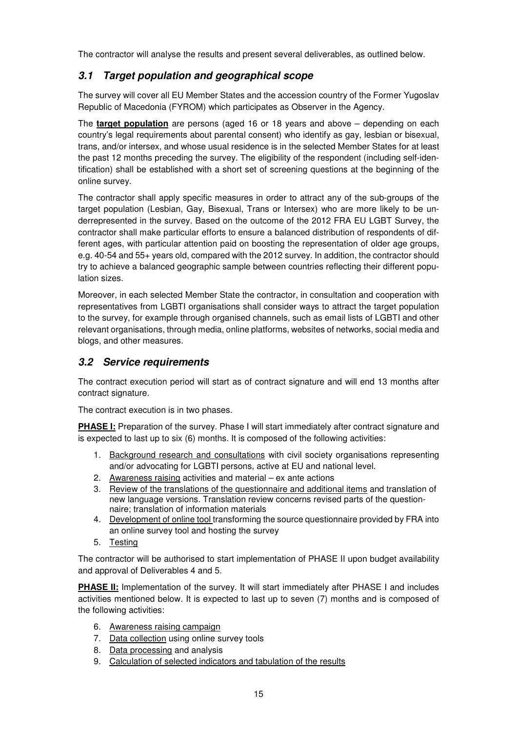The contractor will analyse the results and present several deliverables, as outlined below.

## **3.1 Target population and geographical scope**

The survey will cover all EU Member States and the accession country of the Former Yugoslav Republic of Macedonia (FYROM) which participates as Observer in the Agency.

The **target population** are persons (aged 16 or 18 years and above – depending on each country's legal requirements about parental consent) who identify as gay, lesbian or bisexual, trans, and/or intersex, and whose usual residence is in the selected Member States for at least the past 12 months preceding the survey. The eligibility of the respondent (including self-identification) shall be established with a short set of screening questions at the beginning of the online survey.

The contractor shall apply specific measures in order to attract any of the sub-groups of the target population (Lesbian, Gay, Bisexual, Trans or Intersex) who are more likely to be underrepresented in the survey. Based on the outcome of the 2012 FRA EU LGBT Survey, the contractor shall make particular efforts to ensure a balanced distribution of respondents of different ages, with particular attention paid on boosting the representation of older age groups, e.g. 40-54 and 55+ years old, compared with the 2012 survey. In addition, the contractor should try to achieve a balanced geographic sample between countries reflecting their different population sizes.

Moreover, in each selected Member State the contractor, in consultation and cooperation with representatives from LGBTI organisations shall consider ways to attract the target population to the survey, for example through organised channels, such as email lists of LGBTI and other relevant organisations, through media, online platforms, websites of networks, social media and blogs, and other measures.

## **3.2 Service requirements**

The contract execution period will start as of contract signature and will end 13 months after contract signature.

The contract execution is in two phases.

**PHASE I:** Preparation of the survey. Phase I will start immediately after contract signature and is expected to last up to six (6) months. It is composed of the following activities:

- 1. Background research and consultations with civil society organisations representing and/or advocating for LGBTI persons, active at EU and national level.
- 2. Awareness raising activities and material ex ante actions
- 3. Review of the translations of the questionnaire and additional items and translation of new language versions. Translation review concerns revised parts of the questionnaire; translation of information materials
- 4. Development of online tool transforming the source questionnaire provided by FRA into an online survey tool and hosting the survey
- 5. Testing

The contractor will be authorised to start implementation of PHASE II upon budget availability and approval of Deliverables 4 and 5.

**PHASE II:** Implementation of the survey. It will start immediately after PHASE I and includes activities mentioned below. It is expected to last up to seven (7) months and is composed of the following activities:

- 6. Awareness raising campaign
- 7. Data collection using online survey tools
- 8. Data processing and analysis
- 9. Calculation of selected indicators and tabulation of the results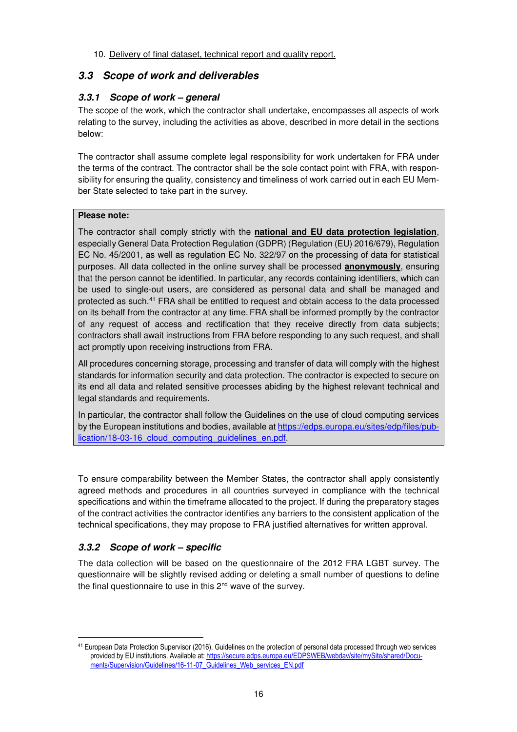#### 10. Delivery of final dataset, technical report and quality report.

## **3.3 Scope of work and deliverables**

## **3.3.1 Scope of work – general**

The scope of the work, which the contractor shall undertake, encompasses all aspects of work relating to the survey, including the activities as above, described in more detail in the sections below:

The contractor shall assume complete legal responsibility for work undertaken for FRA under the terms of the contract. The contractor shall be the sole contact point with FRA, with responsibility for ensuring the quality, consistency and timeliness of work carried out in each EU Member State selected to take part in the survey.

#### **Please note:**

The contractor shall comply strictly with the **national and EU data protection legislation**, especially General Data Protection Regulation (GDPR) (Regulation (EU) 2016/679), Regulation EC No. 45/2001, as well as regulation EC No. 322/97 on the processing of data for statistical purposes. All data collected in the online survey shall be processed **anonymously**, ensuring that the person cannot be identified. In particular, any records containing identifiers, which can be used to single-out users, are considered as personal data and shall be managed and protected as such.<sup>41</sup> FRA shall be entitled to request and obtain access to the data processed on its behalf from the contractor at any time. FRA shall be informed promptly by the contractor of any request of access and rectification that they receive directly from data subjects; contractors shall await instructions from FRA before responding to any such request, and shall act promptly upon receiving instructions from FRA.

All procedures concerning storage, processing and transfer of data will comply with the highest standards for information security and data protection. The contractor is expected to secure on its end all data and related sensitive processes abiding by the highest relevant technical and legal standards and requirements.

In particular, the contractor shall follow the Guidelines on the use of cloud computing services by the European institutions and bodies, available at https://edps.europa.eu/sites/edp/files/publication/18-03-16 cloud computing guidelines en.pdf.

To ensure comparability between the Member States, the contractor shall apply consistently agreed methods and procedures in all countries surveyed in compliance with the technical specifications and within the timeframe allocated to the project. If during the preparatory stages of the contract activities the contractor identifies any barriers to the consistent application of the technical specifications, they may propose to FRA justified alternatives for written approval.

## **3.3.2 Scope of work – specific**

The data collection will be based on the questionnaire of the 2012 FRA LGBT survey. The questionnaire will be slightly revised adding or deleting a small number of questions to define the final questionnaire to use in this 2<sup>nd</sup> wave of the survey.

 $\overline{a}$ <sup>41</sup> European Data Protection Supervisor (2016), Guidelines on the protection of personal data processed through web services provided by EU institutions. Available at: https://secure.edps.europa.eu/EDPSWEB/webdav/site/mySite/shared/Documents/Supervision/Guidelines/16-11-07\_Guidelines\_Web\_services\_EN.pdf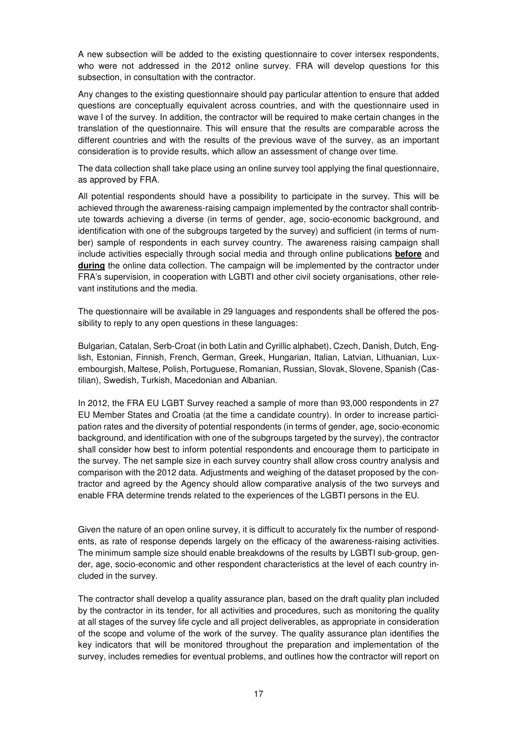A new subsection will be added to the existing questionnaire to cover intersex respondents, who were not addressed in the 2012 online survey. FRA will develop questions for this subsection, in consultation with the contractor.

Any changes to the existing questionnaire should pay particular attention to ensure that added questions are conceptually equivalent across countries, and with the questionnaire used in wave I of the survey. In addition, the contractor will be required to make certain changes in the translation of the questionnaire. This will ensure that the results are comparable across the different countries and with the results of the previous wave of the survey, as an important consideration is to provide results, which allow an assessment of change over time.

The data collection shall take place using an online survey tool applying the final questionnaire, as approved by FRA.

All potential respondents should have a possibility to participate in the survey. This will be achieved through the awareness-raising campaign implemented by the contractor shall contribute towards achieving a diverse (in terms of gender, age, socio-economic background, and identification with one of the subgroups targeted by the survey) and sufficient (in terms of number) sample of respondents in each survey country. The awareness raising campaign shall include activities especially through social media and through online publications **before** and **during** the online data collection. The campaign will be implemented by the contractor under FRA's supervision, in cooperation with LGBTI and other civil society organisations, other relevant institutions and the media.

The questionnaire will be available in 29 languages and respondents shall be offered the possibility to reply to any open questions in these languages:

Bulgarian, Catalan, Serb-Croat (in both Latin and Cyrillic alphabet), Czech, Danish, Dutch, English, Estonian, Finnish, French, German, Greek, Hungarian, Italian, Latvian, Lithuanian, Luxembourgish, Maltese, Polish, Portuguese, Romanian, Russian, Slovak, Slovene, Spanish (Castilian), Swedish, Turkish, Macedonian and Albanian.

In 2012, the FRA EU LGBT Survey reached a sample of more than 93,000 respondents in 27 EU Member States and Croatia (at the time a candidate country). In order to increase participation rates and the diversity of potential respondents (in terms of gender, age, socio-economic background, and identification with one of the subgroups targeted by the survey), the contractor shall consider how best to inform potential respondents and encourage them to participate in the survey. The net sample size in each survey country shall allow cross country analysis and comparison with the 2012 data. Adjustments and weighing of the dataset proposed by the contractor and agreed by the Agency should allow comparative analysis of the two surveys and enable FRA determine trends related to the experiences of the LGBTI persons in the EU.

Given the nature of an open online survey, it is difficult to accurately fix the number of respondents, as rate of response depends largely on the efficacy of the awareness-raising activities. The minimum sample size should enable breakdowns of the results by LGBTI sub-group, gender, age, socio-economic and other respondent characteristics at the level of each country included in the survey.

The contractor shall develop a quality assurance plan, based on the draft quality plan included by the contractor in its tender, for all activities and procedures, such as monitoring the quality at all stages of the survey life cycle and all project deliverables, as appropriate in consideration of the scope and volume of the work of the survey. The quality assurance plan identifies the key indicators that will be monitored throughout the preparation and implementation of the survey, includes remedies for eventual problems, and outlines how the contractor will report on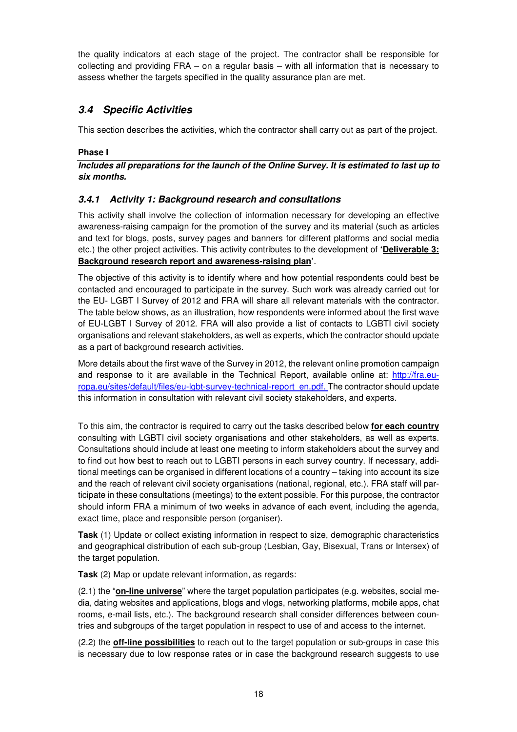the quality indicators at each stage of the project. The contractor shall be responsible for collecting and providing FRA – on a regular basis – with all information that is necessary to assess whether the targets specified in the quality assurance plan are met.

## **3.4 Specific Activities**

This section describes the activities, which the contractor shall carry out as part of the project.

#### **Phase I**

**Includes all preparations for the launch of the Online Survey. It is estimated to last up to six months.** 

### **3.4.1 Activity 1: Background research and consultations**

This activity shall involve the collection of information necessary for developing an effective awareness-raising campaign for the promotion of the survey and its material (such as articles and text for blogs, posts, survey pages and banners for different platforms and social media etc.) the other project activities. This activity contributes to the development of **'Deliverable 3: Background research report and awareness-raising plan'**.

The objective of this activity is to identify where and how potential respondents could best be contacted and encouraged to participate in the survey. Such work was already carried out for the EU- LGBT I Survey of 2012 and FRA will share all relevant materials with the contractor. The table below shows, as an illustration, how respondents were informed about the first wave of EU-LGBT I Survey of 2012. FRA will also provide a list of contacts to LGBTI civil society organisations and relevant stakeholders, as well as experts, which the contractor should update as a part of background research activities.

More details about the first wave of the Survey in 2012, the relevant online promotion campaign and response to it are available in the Technical Report, available online at: http://fra.europa.eu/sites/default/files/eu-lgbt-survey-technical-report\_en.pdf. The contractor should update this information in consultation with relevant civil society stakeholders, and experts.

To this aim, the contractor is required to carry out the tasks described below **for each country** consulting with LGBTI civil society organisations and other stakeholders, as well as experts. Consultations should include at least one meeting to inform stakeholders about the survey and to find out how best to reach out to LGBTI persons in each survey country. If necessary, additional meetings can be organised in different locations of a country – taking into account its size and the reach of relevant civil society organisations (national, regional, etc.). FRA staff will participate in these consultations (meetings) to the extent possible. For this purpose, the contractor should inform FRA a minimum of two weeks in advance of each event, including the agenda, exact time, place and responsible person (organiser).

**Task** (1) Update or collect existing information in respect to size, demographic characteristics and geographical distribution of each sub-group (Lesbian, Gay, Bisexual, Trans or Intersex) of the target population.

**Task** (2) Map or update relevant information, as regards:

(2.1) the "**on-line universe**" where the target population participates (e.g. websites, social media, dating websites and applications, blogs and vlogs, networking platforms, mobile apps, chat rooms, e-mail lists, etc.). The background research shall consider differences between countries and subgroups of the target population in respect to use of and access to the internet.

(2.2) the **off-line possibilities** to reach out to the target population or sub-groups in case this is necessary due to low response rates or in case the background research suggests to use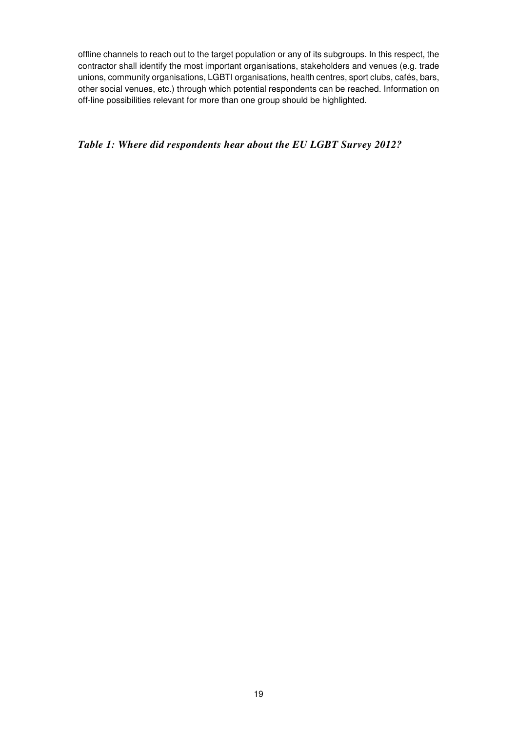offline channels to reach out to the target population or any of its subgroups. In this respect, the contractor shall identify the most important organisations, stakeholders and venues (e.g. trade unions, community organisations, LGBTI organisations, health centres, sport clubs, cafés, bars, other social venues, etc.) through which potential respondents can be reached. Information on off-line possibilities relevant for more than one group should be highlighted.

## *Table 1: Where did respondents hear about the EU LGBT Survey 2012?*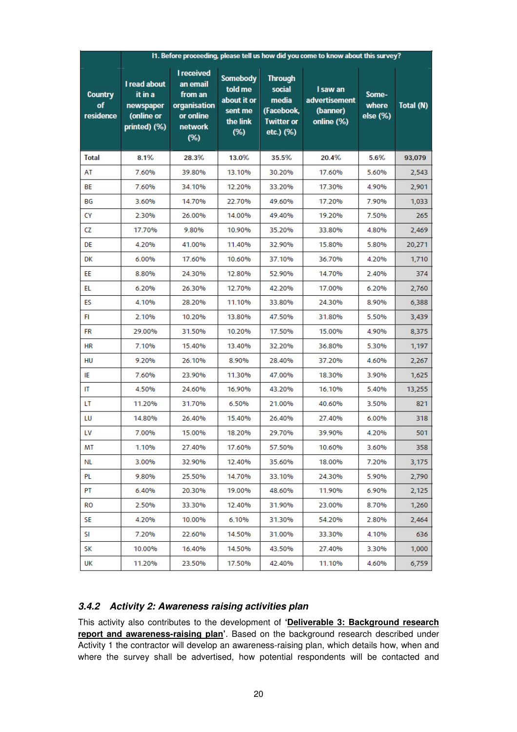|                                   | 11. Before proceeding, please tell us how did you come to know about this survey? |                                                                                                   |                                                                         |                                                                                   |                                                     |                            |           |  |  |  |
|-----------------------------------|-----------------------------------------------------------------------------------|---------------------------------------------------------------------------------------------------|-------------------------------------------------------------------------|-----------------------------------------------------------------------------------|-----------------------------------------------------|----------------------------|-----------|--|--|--|
| <b>Country</b><br>of<br>residence | I read about<br>it in a<br>newspaper<br>(online or<br>printed) (%)                | <b>I</b> received<br>an email<br>from an<br>organisation<br>or online<br><b>network</b><br>$(\%)$ | <b>Somebody</b><br>told me<br>about it or<br>sent me<br>the link<br>(%) | <b>Through</b><br>social<br>media<br>(Facebook,<br><b>Twitter or</b><br>etc.) (%) | I saw an<br>advertisement<br>(banner)<br>online (%) | Some-<br>where<br>else (%) | Total (N) |  |  |  |
| <b>Total</b>                      | 8.1%                                                                              | 28.3%                                                                                             | 13.0%                                                                   | 35.5%                                                                             | 20.4%                                               | 5.6%                       | 93,079    |  |  |  |
| AT                                | 7.60%                                                                             | 39.80%                                                                                            | 13.10%                                                                  | 30.20%                                                                            | 17.60%                                              | 5.60%                      | 2,543     |  |  |  |
| BE                                | 7.60%                                                                             | 34.10%                                                                                            | 12.20%                                                                  | 33.20%                                                                            | 17.30%                                              | 4.90%                      | 2,901     |  |  |  |
| ВG                                | 3.60%                                                                             | 14.70%                                                                                            | 22.70%                                                                  | 49.60%                                                                            | 17.20%                                              | 7.90%                      | 1,033     |  |  |  |
| CY                                | 2.30%                                                                             | 26.00%                                                                                            | 14.00%                                                                  | 49.40%                                                                            | 19.20%                                              | 7.50%                      | 265       |  |  |  |
| CZ                                | 17.70%                                                                            | 9.80%                                                                                             | 10.90%                                                                  | 35.20%                                                                            | 33.80%                                              | 4.80%                      | 2,469     |  |  |  |
| DE                                | 4.20%                                                                             | 41.00%                                                                                            | 11.40%                                                                  | 32.90%                                                                            | 15.80%                                              | 5.80%                      | 20,271    |  |  |  |
| <b>DK</b>                         | 6.00%                                                                             | 17.60%                                                                                            | 10.60%                                                                  | 37.10%                                                                            | 36.70%                                              | 4.20%                      | 1,710     |  |  |  |
| EE                                | 8.80%                                                                             | 24.30%                                                                                            | 12.80%                                                                  | 52.90%                                                                            | 14.70%                                              | 2.40%                      | 374       |  |  |  |
| EL.                               | 6.20%                                                                             | 26.30%                                                                                            | 12.70%                                                                  | 42.20%                                                                            | 17.00%                                              | 6.20%                      | 2,760     |  |  |  |
| ES                                | 4.10%                                                                             | 28.20%                                                                                            | 11.10%                                                                  | 33.80%                                                                            | 24.30%                                              | 8.90%                      | 6,388     |  |  |  |
| FI                                | 2.10%                                                                             | 10.20%                                                                                            | 13.80%                                                                  | 47.50%                                                                            | 31.80%                                              | 5.50%                      | 3,439     |  |  |  |
| <b>FR</b>                         | 29.00%                                                                            | 31.50%                                                                                            | 10.20%                                                                  | 17.50%                                                                            | 15.00%                                              | 4.90%                      | 8,375     |  |  |  |
| <b>HR</b>                         | 7.10%                                                                             | 15.40%                                                                                            | 13.40%                                                                  | 32.20%                                                                            | 36.80%                                              | 5.30%                      | 1,197     |  |  |  |
| <b>HU</b>                         | 9.20%                                                                             | 26.10%                                                                                            | 8.90%                                                                   | 28.40%                                                                            | 37.20%                                              | 4.60%                      | 2,267     |  |  |  |
| ΙE                                | 7.60%                                                                             | 23.90%                                                                                            | 11.30%                                                                  | 47.00%                                                                            | 18.30%                                              | 3.90%                      | 1,625     |  |  |  |
| IT.                               | 4.50%                                                                             | 24.60%                                                                                            | 16.90%                                                                  | 43.20%                                                                            | 16.10%                                              | 5.40%                      | 13,255    |  |  |  |
| LT                                | 11.20%                                                                            | 31.70%                                                                                            | 6.50%                                                                   | 21.00%                                                                            | 40.60%                                              | 3.50%                      | 821       |  |  |  |
| LU                                | 14.80%                                                                            | 26.40%                                                                                            | 15.40%                                                                  | 26.40%                                                                            | 27.40%                                              | 6.00%                      | 318       |  |  |  |
| LV                                | 7.00%                                                                             | 15.00%                                                                                            | 18.20%                                                                  | 29.70%                                                                            | 39.90%                                              | 4.20%                      | 501       |  |  |  |
| ΜT                                | 1.10%                                                                             | 27.40%                                                                                            | 17.60%                                                                  | 57.50%                                                                            | 10.60%                                              | 3.60%                      | 358       |  |  |  |
| NL.                               | 3.00%                                                                             | 32.90%                                                                                            | 12.40%                                                                  | 35.60%                                                                            | 18.00%                                              | 7.20%                      | 3,175     |  |  |  |
| PL                                | 9.80%                                                                             | 25.50%                                                                                            | 14.70%                                                                  | 33.10%                                                                            | 24.30%                                              | 5.90%                      | 2,790     |  |  |  |
| PT                                | 6.40%                                                                             | 20.30%                                                                                            | 19.00%                                                                  | 48.60%                                                                            | 11.90%                                              | 6.90%                      | 2,125     |  |  |  |
| RO                                | 2.50%                                                                             | 33.30%                                                                                            | 12.40%                                                                  | 31.90%                                                                            | 23.00%                                              | 8.70%                      | 1,260     |  |  |  |
| SE.                               | 4.20%                                                                             | 10.00%                                                                                            | 6.10%                                                                   | 31.30%                                                                            | 54.20%                                              | 2.80%                      | 2,464     |  |  |  |
| SI                                | 7.20%                                                                             | 22.60%                                                                                            | 14.50%                                                                  | 31.00%                                                                            | 33.30%                                              | 4.10%                      | 636       |  |  |  |
| SK                                | 10.00%                                                                            | 16.40%                                                                                            | 14.50%                                                                  | 43.50%                                                                            | 27.40%                                              | 3.30%                      | 1,000     |  |  |  |
| UK                                | 11.20%                                                                            | 23.50%                                                                                            | 17.50%                                                                  | 42.40%                                                                            | 11.10%                                              | 4.60%                      | 6,759     |  |  |  |

#### **3.4.2 Activity 2: Awareness raising activities plan**

This activity also contributes to the development of **'Deliverable 3: Background research report and awareness-raising plan'**. Based on the background research described under Activity 1 the contractor will develop an awareness-raising plan, which details how, when and where the survey shall be advertised, how potential respondents will be contacted and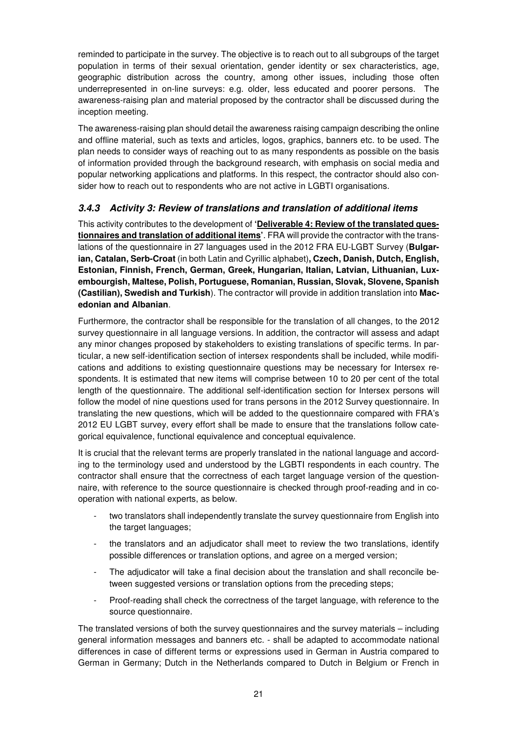reminded to participate in the survey. The objective is to reach out to all subgroups of the target population in terms of their sexual orientation, gender identity or sex characteristics, age, geographic distribution across the country, among other issues, including those often underrepresented in on-line surveys: e.g. older, less educated and poorer persons. The awareness-raising plan and material proposed by the contractor shall be discussed during the inception meeting.

The awareness-raising plan should detail the awareness raising campaign describing the online and offline material, such as texts and articles, logos, graphics, banners etc. to be used. The plan needs to consider ways of reaching out to as many respondents as possible on the basis of information provided through the background research, with emphasis on social media and popular networking applications and platforms. In this respect, the contractor should also consider how to reach out to respondents who are not active in LGBTI organisations.

## **3.4.3 Activity 3: Review of translations and translation of additional items**

This activity contributes to the development of **'Deliverable 4: Review of the translated questionnaires and translation of additional items'**. FRA will provide the contractor with the translations of the questionnaire in 27 languages used in the 2012 FRA EU-LGBT Survey (**Bulgarian, Catalan, Serb-Croat** (in both Latin and Cyrillic alphabet)**, Czech, Danish, Dutch, English, Estonian, Finnish, French, German, Greek, Hungarian, Italian, Latvian, Lithuanian, Luxembourgish, Maltese, Polish, Portuguese, Romanian, Russian, Slovak, Slovene, Spanish (Castilian), Swedish and Turkish**). The contractor will provide in addition translation into **Macedonian and Albanian**.

Furthermore, the contractor shall be responsible for the translation of all changes, to the 2012 survey questionnaire in all language versions. In addition, the contractor will assess and adapt any minor changes proposed by stakeholders to existing translations of specific terms. In particular, a new self-identification section of intersex respondents shall be included, while modifications and additions to existing questionnaire questions may be necessary for Intersex respondents. It is estimated that new items will comprise between 10 to 20 per cent of the total length of the questionnaire. The additional self-identification section for Intersex persons will follow the model of nine questions used for trans persons in the 2012 Survey questionnaire. In translating the new questions, which will be added to the questionnaire compared with FRA's 2012 EU LGBT survey, every effort shall be made to ensure that the translations follow categorical equivalence, functional equivalence and conceptual equivalence.

It is crucial that the relevant terms are properly translated in the national language and according to the terminology used and understood by the LGBTI respondents in each country. The contractor shall ensure that the correctness of each target language version of the questionnaire, with reference to the source questionnaire is checked through proof-reading and in cooperation with national experts, as below.

- two translators shall independently translate the survey questionnaire from English into the target languages;
- the translators and an adjudicator shall meet to review the two translations, identify possible differences or translation options, and agree on a merged version;
- The adjudicator will take a final decision about the translation and shall reconcile between suggested versions or translation options from the preceding steps;
- Proof-reading shall check the correctness of the target language, with reference to the source questionnaire.

The translated versions of both the survey questionnaires and the survey materials – including general information messages and banners etc. - shall be adapted to accommodate national differences in case of different terms or expressions used in German in Austria compared to German in Germany; Dutch in the Netherlands compared to Dutch in Belgium or French in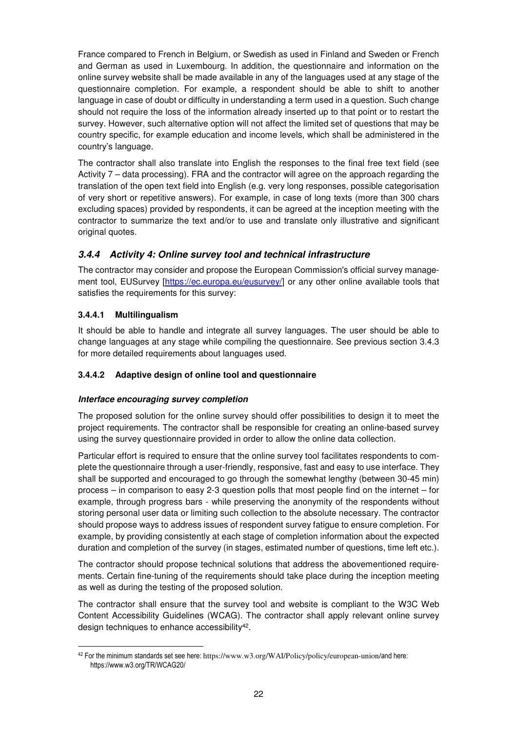France compared to French in Belgium, or Swedish as used in Finland and Sweden or French and German as used in Luxembourg. In addition, the questionnaire and information on the online survey website shall be made available in any of the languages used at any stage of the questionnaire completion. For example, a respondent should be able to shift to another language in case of doubt or difficulty in understanding a term used in a question. Such change should not require the loss of the information already inserted up to that point or to restart the survey. However, such alternative option will not affect the limited set of questions that may be country specific, for example education and income levels, which shall be administered in the country's language.

The contractor shall also translate into English the responses to the final free text field (see Activity 7 – data processing). FRA and the contractor will agree on the approach regarding the translation of the open text field into English (e.g. very long responses, possible categorisation of very short or repetitive answers). For example, in case of long texts (more than 300 chars excluding spaces) provided by respondents, it can be agreed at the inception meeting with the contractor to summarize the text and/or to use and translate only illustrative and significant original quotes.

## **3.4.4 Activity 4: Online survey tool and technical infrastructure**

The contractor may consider and propose the European Commission's official survey management tool, EUSurvey [https://ec.europa.eu/eusurvey/] or any other online available tools that satisfies the requirements for this survey:

#### **3.4.4.1 Multilingualism**

It should be able to handle and integrate all survey languages. The user should be able to change languages at any stage while compiling the questionnaire. See previous section 3.4.3 for more detailed requirements about languages used.

#### **3.4.4.2 Adaptive design of online tool and questionnaire**

#### **Interface encouraging survey completion**

The proposed solution for the online survey should offer possibilities to design it to meet the project requirements. The contractor shall be responsible for creating an online-based survey using the survey questionnaire provided in order to allow the online data collection.

Particular effort is required to ensure that the online survey tool facilitates respondents to complete the questionnaire through a user-friendly, responsive, fast and easy to use interface. They shall be supported and encouraged to go through the somewhat lengthy (between 30-45 min) process – in comparison to easy 2-3 question polls that most people find on the internet – for example, through progress bars - while preserving the anonymity of the respondents without storing personal user data or limiting such collection to the absolute necessary. The contractor should propose ways to address issues of respondent survey fatigue to ensure completion. For example, by providing consistently at each stage of completion information about the expected duration and completion of the survey (in stages, estimated number of questions, time left etc.).

The contractor should propose technical solutions that address the abovementioned requirements. Certain fine-tuning of the requirements should take place during the inception meeting as well as during the testing of the proposed solution.

The contractor shall ensure that the survey tool and website is compliant to the W3C Web Content Accessibility Guidelines (WCAG). The contractor shall apply relevant online survey design techniques to enhance accessibility<sup>42</sup>.

 $\overline{a}$ <sup>42</sup> For the minimum standards set see here: https://www.w3.org/WAI/Policy/policy/european-union/and here: https://www.w3.org/TR/WCAG20/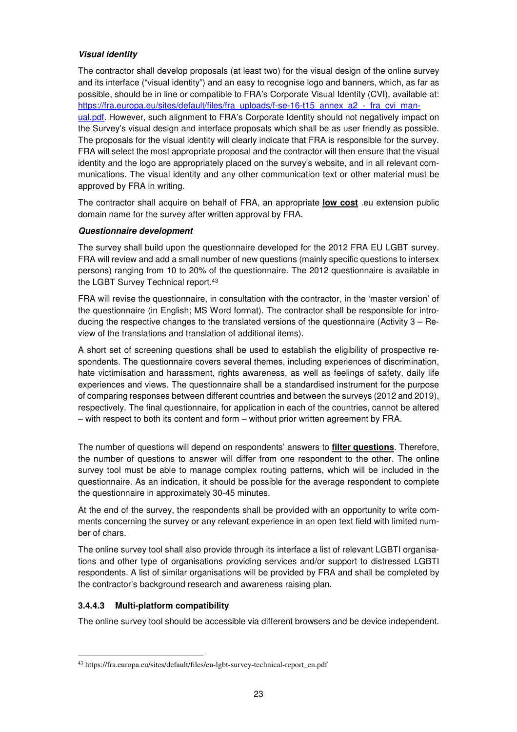#### **Visual identity**

The contractor shall develop proposals (at least two) for the visual design of the online survey and its interface ("visual identity") and an easy to recognise logo and banners, which, as far as possible, should be in line or compatible to FRA's Corporate Visual Identity (CVI), available at: https://fra.europa.eu/sites/default/files/fra\_uploads/f-se-16-t15\_annex\_a2\_-\_fra\_cvi\_manual.pdf. However, such alignment to FRA's Corporate Identity should not negatively impact on the Survey's visual design and interface proposals which shall be as user friendly as possible. The proposals for the visual identity will clearly indicate that FRA is responsible for the survey. FRA will select the most appropriate proposal and the contractor will then ensure that the visual identity and the logo are appropriately placed on the survey's website, and in all relevant communications. The visual identity and any other communication text or other material must be approved by FRA in writing.

The contractor shall acquire on behalf of FRA, an appropriate **low cost** .eu extension public domain name for the survey after written approval by FRA.

#### **Questionnaire development**

The survey shall build upon the questionnaire developed for the 2012 FRA EU LGBT survey. FRA will review and add a small number of new questions (mainly specific questions to intersex persons) ranging from 10 to 20% of the questionnaire. The 2012 questionnaire is available in the LGBT Survey Technical report.<sup>43</sup>

FRA will revise the questionnaire, in consultation with the contractor, in the 'master version' of the questionnaire (in English; MS Word format). The contractor shall be responsible for introducing the respective changes to the translated versions of the questionnaire (Activity 3 – Review of the translations and translation of additional items).

A short set of screening questions shall be used to establish the eligibility of prospective respondents. The questionnaire covers several themes, including experiences of discrimination, hate victimisation and harassment, rights awareness, as well as feelings of safety, daily life experiences and views. The questionnaire shall be a standardised instrument for the purpose of comparing responses between different countries and between the surveys (2012 and 2019), respectively. The final questionnaire, for application in each of the countries, cannot be altered – with respect to both its content and form – without prior written agreement by FRA.

The number of questions will depend on respondents' answers to **filter questions**. Therefore, the number of questions to answer will differ from one respondent to the other. The online survey tool must be able to manage complex routing patterns, which will be included in the questionnaire. As an indication, it should be possible for the average respondent to complete the questionnaire in approximately 30-45 minutes.

At the end of the survey, the respondents shall be provided with an opportunity to write comments concerning the survey or any relevant experience in an open text field with limited number of chars.

The online survey tool shall also provide through its interface a list of relevant LGBTI organisations and other type of organisations providing services and/or support to distressed LGBTI respondents. A list of similar organisations will be provided by FRA and shall be completed by the contractor's background research and awareness raising plan.

#### **3.4.4.3 Multi-platform compatibility**

The online survey tool should be accessible via different browsers and be device independent.

 $\overline{a}$ 43 https://fra.europa.eu/sites/default/files/eu-lgbt-survey-technical-report\_en.pdf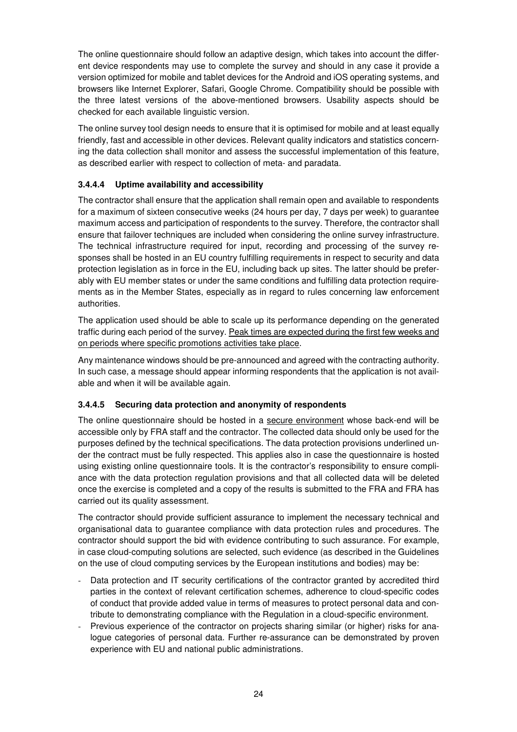The online questionnaire should follow an adaptive design, which takes into account the different device respondents may use to complete the survey and should in any case it provide a version optimized for mobile and tablet devices for the Android and iOS operating systems, and browsers like Internet Explorer, Safari, Google Chrome. Compatibility should be possible with the three latest versions of the above-mentioned browsers. Usability aspects should be checked for each available linguistic version.

The online survey tool design needs to ensure that it is optimised for mobile and at least equally friendly, fast and accessible in other devices. Relevant quality indicators and statistics concerning the data collection shall monitor and assess the successful implementation of this feature, as described earlier with respect to collection of meta- and paradata.

#### **3.4.4.4 Uptime availability and accessibility**

The contractor shall ensure that the application shall remain open and available to respondents for a maximum of sixteen consecutive weeks (24 hours per day, 7 days per week) to guarantee maximum access and participation of respondents to the survey. Therefore, the contractor shall ensure that failover techniques are included when considering the online survey infrastructure. The technical infrastructure required for input, recording and processing of the survey responses shall be hosted in an EU country fulfilling requirements in respect to security and data protection legislation as in force in the EU, including back up sites. The latter should be preferably with EU member states or under the same conditions and fulfilling data protection requirements as in the Member States, especially as in regard to rules concerning law enforcement authorities.

The application used should be able to scale up its performance depending on the generated traffic during each period of the survey. Peak times are expected during the first few weeks and on periods where specific promotions activities take place.

Any maintenance windows should be pre-announced and agreed with the contracting authority. In such case, a message should appear informing respondents that the application is not available and when it will be available again.

#### **3.4.4.5 Securing data protection and anonymity of respondents**

The online questionnaire should be hosted in a secure environment whose back-end will be accessible only by FRA staff and the contractor. The collected data should only be used for the purposes defined by the technical specifications. The data protection provisions underlined under the contract must be fully respected. This applies also in case the questionnaire is hosted using existing online questionnaire tools. It is the contractor's responsibility to ensure compliance with the data protection regulation provisions and that all collected data will be deleted once the exercise is completed and a copy of the results is submitted to the FRA and FRA has carried out its quality assessment.

The contractor should provide sufficient assurance to implement the necessary technical and organisational data to guarantee compliance with data protection rules and procedures. The contractor should support the bid with evidence contributing to such assurance. For example, in case cloud-computing solutions are selected, such evidence (as described in the Guidelines on the use of cloud computing services by the European institutions and bodies) may be:

- Data protection and IT security certifications of the contractor granted by accredited third parties in the context of relevant certification schemes, adherence to cloud-specific codes of conduct that provide added value in terms of measures to protect personal data and contribute to demonstrating compliance with the Regulation in a cloud-specific environment.
- Previous experience of the contractor on projects sharing similar (or higher) risks for analogue categories of personal data. Further re-assurance can be demonstrated by proven experience with EU and national public administrations.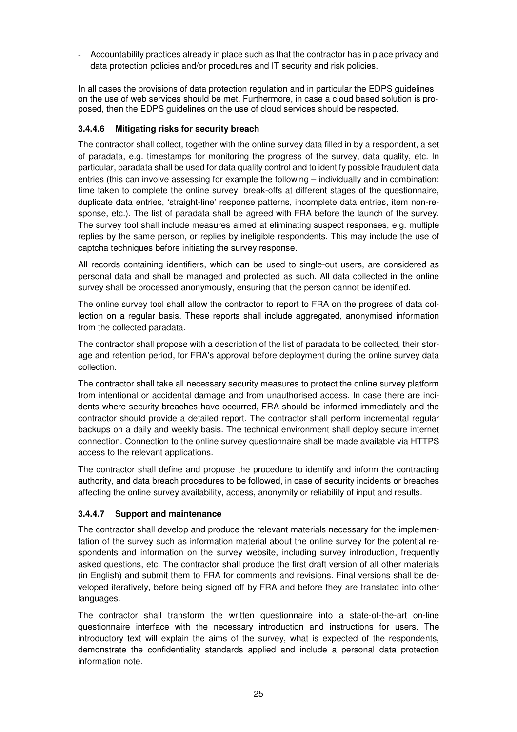- Accountability practices already in place such as that the contractor has in place privacy and data protection policies and/or procedures and IT security and risk policies.

In all cases the provisions of data protection regulation and in particular the EDPS guidelines on the use of web services should be met. Furthermore, in case a cloud based solution is proposed, then the EDPS guidelines on the use of cloud services should be respected.

#### **3.4.4.6 Mitigating risks for security breach**

The contractor shall collect, together with the online survey data filled in by a respondent, a set of paradata, e.g. timestamps for monitoring the progress of the survey, data quality, etc. In particular, paradata shall be used for data quality control and to identify possible fraudulent data entries (this can involve assessing for example the following – individually and in combination: time taken to complete the online survey, break-offs at different stages of the questionnaire, duplicate data entries, 'straight-line' response patterns, incomplete data entries, item non-response, etc.). The list of paradata shall be agreed with FRA before the launch of the survey. The survey tool shall include measures aimed at eliminating suspect responses, e.g. multiple replies by the same person, or replies by ineligible respondents. This may include the use of captcha techniques before initiating the survey response.

All records containing identifiers, which can be used to single-out users, are considered as personal data and shall be managed and protected as such. All data collected in the online survey shall be processed anonymously, ensuring that the person cannot be identified.

The online survey tool shall allow the contractor to report to FRA on the progress of data collection on a regular basis. These reports shall include aggregated, anonymised information from the collected paradata.

The contractor shall propose with a description of the list of paradata to be collected, their storage and retention period, for FRA's approval before deployment during the online survey data collection.

The contractor shall take all necessary security measures to protect the online survey platform from intentional or accidental damage and from unauthorised access. In case there are incidents where security breaches have occurred, FRA should be informed immediately and the contractor should provide a detailed report. The contractor shall perform incremental regular backups on a daily and weekly basis. The technical environment shall deploy secure internet connection. Connection to the online survey questionnaire shall be made available via HTTPS access to the relevant applications.

The contractor shall define and propose the procedure to identify and inform the contracting authority, and data breach procedures to be followed, in case of security incidents or breaches affecting the online survey availability, access, anonymity or reliability of input and results.

#### **3.4.4.7 Support and maintenance**

The contractor shall develop and produce the relevant materials necessary for the implementation of the survey such as information material about the online survey for the potential respondents and information on the survey website, including survey introduction, frequently asked questions, etc. The contractor shall produce the first draft version of all other materials (in English) and submit them to FRA for comments and revisions. Final versions shall be developed iteratively, before being signed off by FRA and before they are translated into other languages.

The contractor shall transform the written questionnaire into a state-of-the-art on-line questionnaire interface with the necessary introduction and instructions for users. The introductory text will explain the aims of the survey, what is expected of the respondents, demonstrate the confidentiality standards applied and include a personal data protection information note.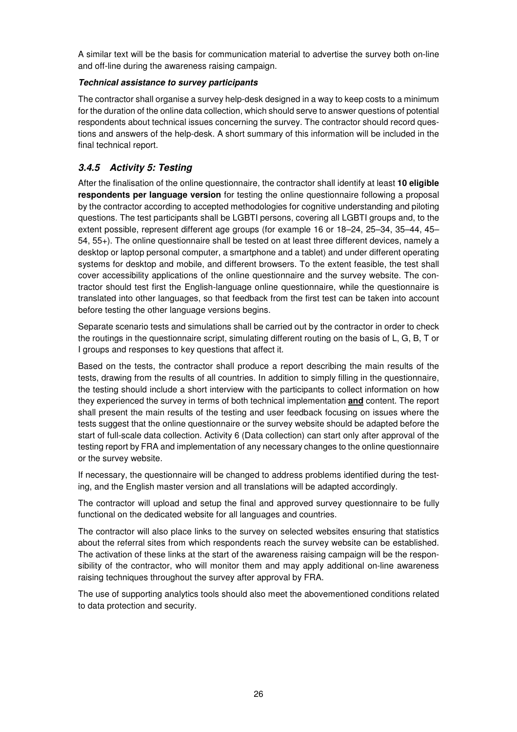A similar text will be the basis for communication material to advertise the survey both on-line and off-line during the awareness raising campaign.

#### **Technical assistance to survey participants**

The contractor shall organise a survey help-desk designed in a way to keep costs to a minimum for the duration of the online data collection, which should serve to answer questions of potential respondents about technical issues concerning the survey. The contractor should record questions and answers of the help-desk. A short summary of this information will be included in the final technical report.

## **3.4.5 Activity 5: Testing**

After the finalisation of the online questionnaire, the contractor shall identify at least **10 eligible respondents per language version** for testing the online questionnaire following a proposal by the contractor according to accepted methodologies for cognitive understanding and piloting questions. The test participants shall be LGBTI persons, covering all LGBTI groups and, to the extent possible, represent different age groups (for example 16 or 18–24, 25–34, 35–44, 45– 54, 55+). The online questionnaire shall be tested on at least three different devices, namely a desktop or laptop personal computer, a smartphone and a tablet) and under different operating systems for desktop and mobile, and different browsers. To the extent feasible, the test shall cover accessibility applications of the online questionnaire and the survey website. The contractor should test first the English-language online questionnaire, while the questionnaire is translated into other languages, so that feedback from the first test can be taken into account before testing the other language versions begins.

Separate scenario tests and simulations shall be carried out by the contractor in order to check the routings in the questionnaire script, simulating different routing on the basis of L, G, B, T or I groups and responses to key questions that affect it.

Based on the tests, the contractor shall produce a report describing the main results of the tests, drawing from the results of all countries. In addition to simply filling in the questionnaire, the testing should include a short interview with the participants to collect information on how they experienced the survey in terms of both technical implementation **and** content. The report shall present the main results of the testing and user feedback focusing on issues where the tests suggest that the online questionnaire or the survey website should be adapted before the start of full-scale data collection. Activity 6 (Data collection) can start only after approval of the testing report by FRA and implementation of any necessary changes to the online questionnaire or the survey website.

If necessary, the questionnaire will be changed to address problems identified during the testing, and the English master version and all translations will be adapted accordingly.

The contractor will upload and setup the final and approved survey questionnaire to be fully functional on the dedicated website for all languages and countries.

The contractor will also place links to the survey on selected websites ensuring that statistics about the referral sites from which respondents reach the survey website can be established. The activation of these links at the start of the awareness raising campaign will be the responsibility of the contractor, who will monitor them and may apply additional on-line awareness raising techniques throughout the survey after approval by FRA.

The use of supporting analytics tools should also meet the abovementioned conditions related to data protection and security.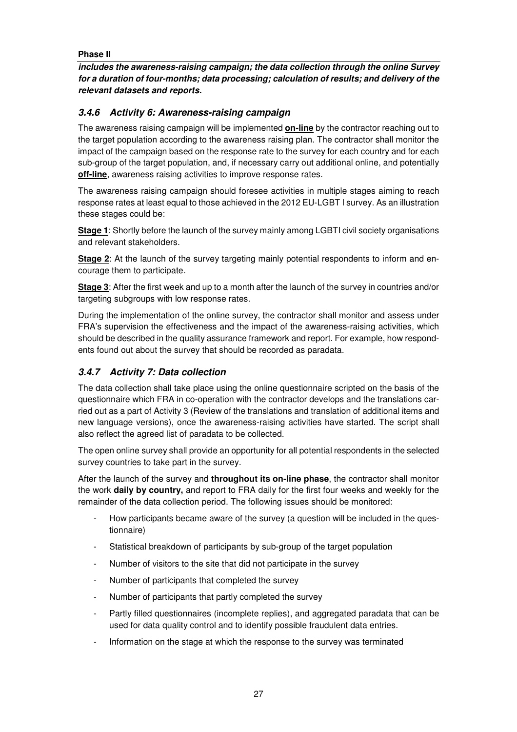#### **Phase II**

**includes the awareness-raising campaign; the data collection through the online Survey for a duration of four-months; data processing; calculation of results; and delivery of the relevant datasets and reports.** 

## **3.4.6 Activity 6: Awareness-raising campaign**

The awareness raising campaign will be implemented **on-line** by the contractor reaching out to the target population according to the awareness raising plan. The contractor shall monitor the impact of the campaign based on the response rate to the survey for each country and for each sub-group of the target population, and, if necessary carry out additional online, and potentially **off-line**, awareness raising activities to improve response rates.

The awareness raising campaign should foresee activities in multiple stages aiming to reach response rates at least equal to those achieved in the 2012 EU-LGBT I survey. As an illustration these stages could be:

**Stage 1**: Shortly before the launch of the survey mainly among LGBTI civil society organisations and relevant stakeholders.

**Stage 2:** At the launch of the survey targeting mainly potential respondents to inform and encourage them to participate.

**Stage 3**: After the first week and up to a month after the launch of the survey in countries and/or targeting subgroups with low response rates.

During the implementation of the online survey, the contractor shall monitor and assess under FRA's supervision the effectiveness and the impact of the awareness-raising activities, which should be described in the quality assurance framework and report. For example, how respondents found out about the survey that should be recorded as paradata.

## **3.4.7 Activity 7: Data collection**

The data collection shall take place using the online questionnaire scripted on the basis of the questionnaire which FRA in co-operation with the contractor develops and the translations carried out as a part of Activity 3 (Review of the translations and translation of additional items and new language versions), once the awareness-raising activities have started. The script shall also reflect the agreed list of paradata to be collected.

The open online survey shall provide an opportunity for all potential respondents in the selected survey countries to take part in the survey.

After the launch of the survey and **throughout its on-line phase**, the contractor shall monitor the work **daily by country,** and report to FRA daily for the first four weeks and weekly for the remainder of the data collection period. The following issues should be monitored:

- How participants became aware of the survey (a question will be included in the questionnaire)
- Statistical breakdown of participants by sub-group of the target population
- Number of visitors to the site that did not participate in the survey
- Number of participants that completed the survey
- Number of participants that partly completed the survey
- Partly filled questionnaires (incomplete replies), and aggregated paradata that can be used for data quality control and to identify possible fraudulent data entries.
- Information on the stage at which the response to the survey was terminated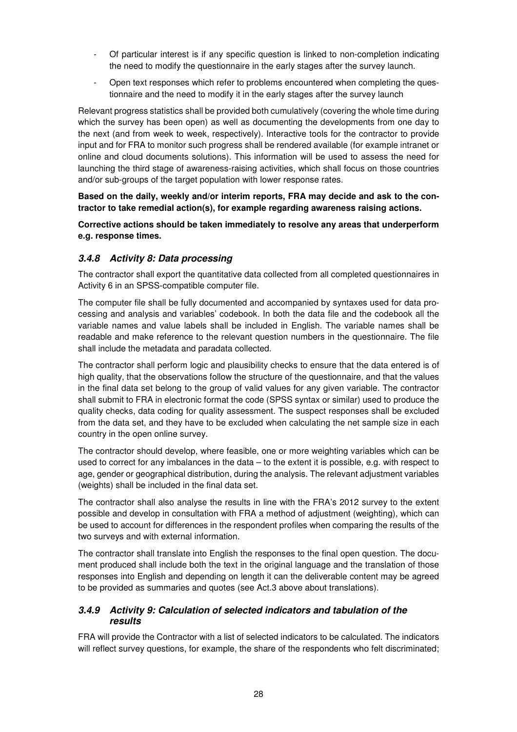- Of particular interest is if any specific question is linked to non-completion indicating the need to modify the questionnaire in the early stages after the survey launch.
- Open text responses which refer to problems encountered when completing the questionnaire and the need to modify it in the early stages after the survey launch

Relevant progress statistics shall be provided both cumulatively (covering the whole time during which the survey has been open) as well as documenting the developments from one day to the next (and from week to week, respectively). Interactive tools for the contractor to provide input and for FRA to monitor such progress shall be rendered available (for example intranet or online and cloud documents solutions). This information will be used to assess the need for launching the third stage of awareness-raising activities, which shall focus on those countries and/or sub-groups of the target population with lower response rates.

**Based on the daily, weekly and/or interim reports, FRA may decide and ask to the contractor to take remedial action(s), for example regarding awareness raising actions.** 

**Corrective actions should be taken immediately to resolve any areas that underperform e.g. response times.** 

#### **3.4.8 Activity 8: Data processing**

The contractor shall export the quantitative data collected from all completed questionnaires in Activity 6 in an SPSS-compatible computer file.

The computer file shall be fully documented and accompanied by syntaxes used for data processing and analysis and variables' codebook. In both the data file and the codebook all the variable names and value labels shall be included in English. The variable names shall be readable and make reference to the relevant question numbers in the questionnaire. The file shall include the metadata and paradata collected.

The contractor shall perform logic and plausibility checks to ensure that the data entered is of high quality, that the observations follow the structure of the questionnaire, and that the values in the final data set belong to the group of valid values for any given variable. The contractor shall submit to FRA in electronic format the code (SPSS syntax or similar) used to produce the quality checks, data coding for quality assessment. The suspect responses shall be excluded from the data set, and they have to be excluded when calculating the net sample size in each country in the open online survey.

The contractor should develop, where feasible, one or more weighting variables which can be used to correct for any imbalances in the data – to the extent it is possible, e.g. with respect to age, gender or geographical distribution, during the analysis. The relevant adjustment variables (weights) shall be included in the final data set.

The contractor shall also analyse the results in line with the FRA's 2012 survey to the extent possible and develop in consultation with FRA a method of adjustment (weighting), which can be used to account for differences in the respondent profiles when comparing the results of the two surveys and with external information.

The contractor shall translate into English the responses to the final open question. The document produced shall include both the text in the original language and the translation of those responses into English and depending on length it can the deliverable content may be agreed to be provided as summaries and quotes (see Act.3 above about translations).

### **3.4.9 Activity 9: Calculation of selected indicators and tabulation of the results**

FRA will provide the Contractor with a list of selected indicators to be calculated. The indicators will reflect survey questions, for example, the share of the respondents who felt discriminated;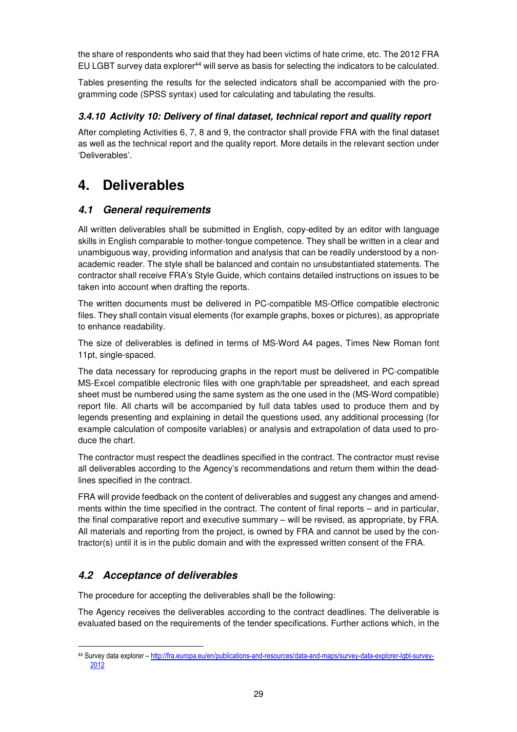the share of respondents who said that they had been victims of hate crime, etc. The 2012 FRA EU LGBT survey data explorer<sup>44</sup> will serve as basis for selecting the indicators to be calculated.

Tables presenting the results for the selected indicators shall be accompanied with the programming code (SPSS syntax) used for calculating and tabulating the results.

## **3.4.10 Activity 10: Delivery of final dataset, technical report and quality report**

After completing Activities 6, 7, 8 and 9, the contractor shall provide FRA with the final dataset as well as the technical report and the quality report. More details in the relevant section under 'Deliverables'.

## **4. Deliverables**

## **4.1 General requirements**

All written deliverables shall be submitted in English, copy-edited by an editor with language skills in English comparable to mother-tongue competence. They shall be written in a clear and unambiguous way, providing information and analysis that can be readily understood by a nonacademic reader. The style shall be balanced and contain no unsubstantiated statements. The contractor shall receive FRA's Style Guide, which contains detailed instructions on issues to be taken into account when drafting the reports.

The written documents must be delivered in PC-compatible MS-Office compatible electronic files. They shall contain visual elements (for example graphs, boxes or pictures), as appropriate to enhance readability.

The size of deliverables is defined in terms of MS-Word A4 pages, Times New Roman font 11pt, single-spaced.

The data necessary for reproducing graphs in the report must be delivered in PC-compatible MS-Excel compatible electronic files with one graph/table per spreadsheet, and each spread sheet must be numbered using the same system as the one used in the (MS-Word compatible) report file. All charts will be accompanied by full data tables used to produce them and by legends presenting and explaining in detail the questions used, any additional processing (for example calculation of composite variables) or analysis and extrapolation of data used to produce the chart.

The contractor must respect the deadlines specified in the contract. The contractor must revise all deliverables according to the Agency's recommendations and return them within the deadlines specified in the contract.

FRA will provide feedback on the content of deliverables and suggest any changes and amendments within the time specified in the contract. The content of final reports – and in particular, the final comparative report and executive summary – will be revised, as appropriate, by FRA. All materials and reporting from the project, is owned by FRA and cannot be used by the contractor(s) until it is in the public domain and with the expressed written consent of the FRA.

## **4.2 Acceptance of deliverables**

 $\overline{a}$ 

The procedure for accepting the deliverables shall be the following:

The Agency receives the deliverables according to the contract deadlines. The deliverable is evaluated based on the requirements of the tender specifications. Further actions which, in the

<sup>44</sup> Survey data explorer – http://fra.europa.eu/en/publications-and-resources/data-and-maps/survey-data-explorer-lgbt-survey-2012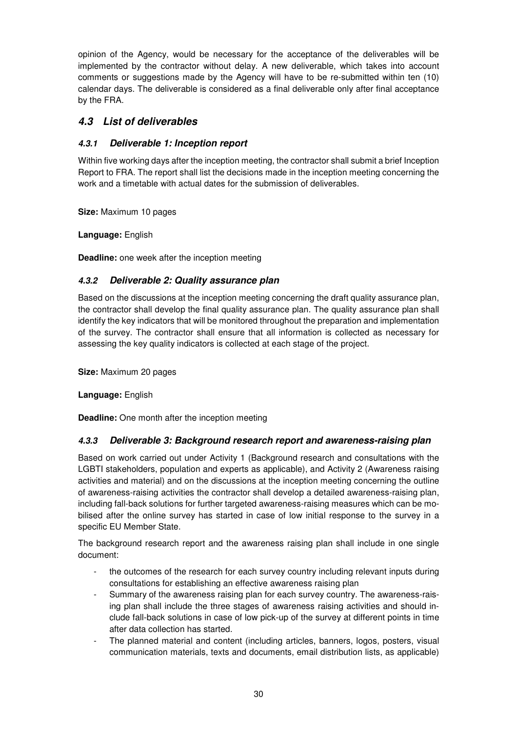opinion of the Agency, would be necessary for the acceptance of the deliverables will be implemented by the contractor without delay. A new deliverable, which takes into account comments or suggestions made by the Agency will have to be re-submitted within ten (10) calendar days. The deliverable is considered as a final deliverable only after final acceptance by the FRA.

## **4.3 List of deliverables**

## **4.3.1 Deliverable 1: Inception report**

Within five working days after the inception meeting, the contractor shall submit a brief Inception Report to FRA. The report shall list the decisions made in the inception meeting concerning the work and a timetable with actual dates for the submission of deliverables.

**Size:** Maximum 10 pages

**Language:** English

**Deadline:** one week after the inception meeting

### **4.3.2 Deliverable 2: Quality assurance plan**

Based on the discussions at the inception meeting concerning the draft quality assurance plan, the contractor shall develop the final quality assurance plan. The quality assurance plan shall identify the key indicators that will be monitored throughout the preparation and implementation of the survey. The contractor shall ensure that all information is collected as necessary for assessing the key quality indicators is collected at each stage of the project.

**Size:** Maximum 20 pages

**Language:** English

**Deadline:** One month after the inception meeting

#### **4.3.3 Deliverable 3: Background research report and awareness-raising plan**

Based on work carried out under Activity 1 (Background research and consultations with the LGBTI stakeholders, population and experts as applicable), and Activity 2 (Awareness raising activities and material) and on the discussions at the inception meeting concerning the outline of awareness-raising activities the contractor shall develop a detailed awareness-raising plan, including fall-back solutions for further targeted awareness-raising measures which can be mobilised after the online survey has started in case of low initial response to the survey in a specific EU Member State.

The background research report and the awareness raising plan shall include in one single document:

- the outcomes of the research for each survey country including relevant inputs during consultations for establishing an effective awareness raising plan
- Summary of the awareness raising plan for each survey country. The awareness-raising plan shall include the three stages of awareness raising activities and should include fall-back solutions in case of low pick-up of the survey at different points in time after data collection has started.
- The planned material and content (including articles, banners, logos, posters, visual communication materials, texts and documents, email distribution lists, as applicable)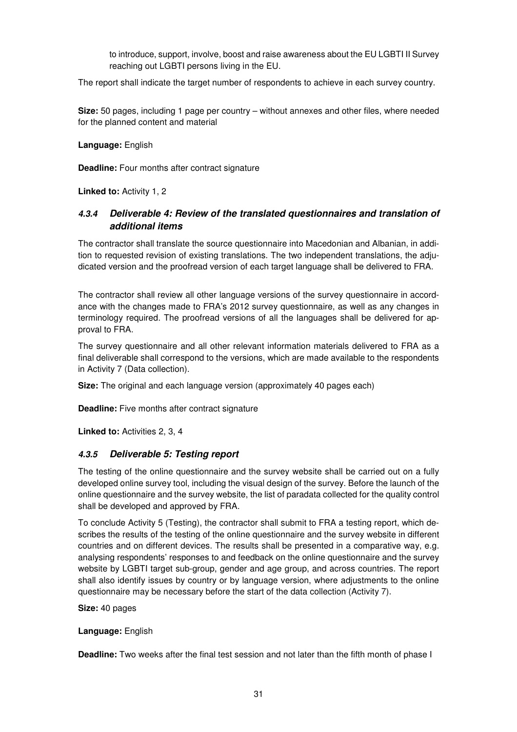to introduce, support, involve, boost and raise awareness about the EU LGBTI II Survey reaching out LGBTI persons living in the EU.

The report shall indicate the target number of respondents to achieve in each survey country.

**Size:** 50 pages, including 1 page per country – without annexes and other files, where needed for the planned content and material

**Language:** English

**Deadline:** Four months after contract signature

**Linked to: Activity 1, 2** 

### **4.3.4 Deliverable 4: Review of the translated questionnaires and translation of additional items**

The contractor shall translate the source questionnaire into Macedonian and Albanian, in addition to requested revision of existing translations. The two independent translations, the adjudicated version and the proofread version of each target language shall be delivered to FRA.

The contractor shall review all other language versions of the survey questionnaire in accordance with the changes made to FRA's 2012 survey questionnaire, as well as any changes in terminology required. The proofread versions of all the languages shall be delivered for approval to FRA.

The survey questionnaire and all other relevant information materials delivered to FRA as a final deliverable shall correspond to the versions, which are made available to the respondents in Activity 7 (Data collection).

**Size:** The original and each language version (approximately 40 pages each)

**Deadline:** Five months after contract signature

Linked to: Activities 2, 3, 4

#### **4.3.5 Deliverable 5: Testing report**

The testing of the online questionnaire and the survey website shall be carried out on a fully developed online survey tool, including the visual design of the survey. Before the launch of the online questionnaire and the survey website, the list of paradata collected for the quality control shall be developed and approved by FRA.

To conclude Activity 5 (Testing), the contractor shall submit to FRA a testing report, which describes the results of the testing of the online questionnaire and the survey website in different countries and on different devices. The results shall be presented in a comparative way, e.g. analysing respondents' responses to and feedback on the online questionnaire and the survey website by LGBTI target sub-group, gender and age group, and across countries. The report shall also identify issues by country or by language version, where adjustments to the online questionnaire may be necessary before the start of the data collection (Activity 7).

#### **Size:** 40 pages

#### **Language:** English

**Deadline:** Two weeks after the final test session and not later than the fifth month of phase I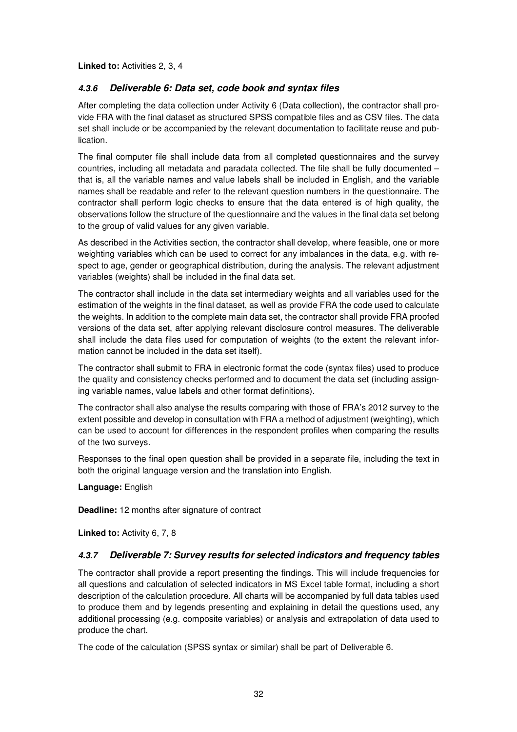Linked to: Activities 2, 3, 4

### **4.3.6 Deliverable 6: Data set, code book and syntax files**

After completing the data collection under Activity 6 (Data collection), the contractor shall provide FRA with the final dataset as structured SPSS compatible files and as CSV files. The data set shall include or be accompanied by the relevant documentation to facilitate reuse and publication.

The final computer file shall include data from all completed questionnaires and the survey countries, including all metadata and paradata collected. The file shall be fully documented – that is, all the variable names and value labels shall be included in English, and the variable names shall be readable and refer to the relevant question numbers in the questionnaire. The contractor shall perform logic checks to ensure that the data entered is of high quality, the observations follow the structure of the questionnaire and the values in the final data set belong to the group of valid values for any given variable.

As described in the Activities section, the contractor shall develop, where feasible, one or more weighting variables which can be used to correct for any imbalances in the data, e.g. with respect to age, gender or geographical distribution, during the analysis. The relevant adjustment variables (weights) shall be included in the final data set.

The contractor shall include in the data set intermediary weights and all variables used for the estimation of the weights in the final dataset, as well as provide FRA the code used to calculate the weights. In addition to the complete main data set, the contractor shall provide FRA proofed versions of the data set, after applying relevant disclosure control measures. The deliverable shall include the data files used for computation of weights (to the extent the relevant information cannot be included in the data set itself).

The contractor shall submit to FRA in electronic format the code (syntax files) used to produce the quality and consistency checks performed and to document the data set (including assigning variable names, value labels and other format definitions).

The contractor shall also analyse the results comparing with those of FRA's 2012 survey to the extent possible and develop in consultation with FRA a method of adjustment (weighting), which can be used to account for differences in the respondent profiles when comparing the results of the two surveys.

Responses to the final open question shall be provided in a separate file, including the text in both the original language version and the translation into English.

**Language:** English

**Deadline:** 12 months after signature of contract

**Linked to:** Activity 6, 7, 8

#### **4.3.7 Deliverable 7: Survey results for selected indicators and frequency tables**

The contractor shall provide a report presenting the findings. This will include frequencies for all questions and calculation of selected indicators in MS Excel table format, including a short description of the calculation procedure. All charts will be accompanied by full data tables used to produce them and by legends presenting and explaining in detail the questions used, any additional processing (e.g. composite variables) or analysis and extrapolation of data used to produce the chart.

The code of the calculation (SPSS syntax or similar) shall be part of Deliverable 6.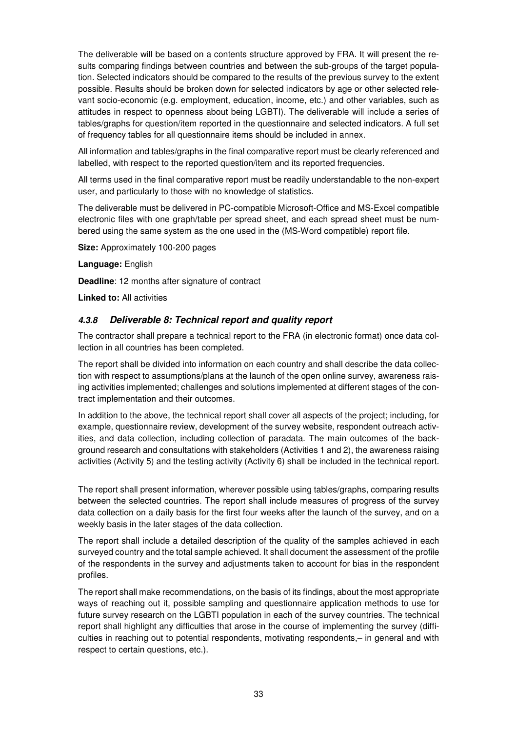The deliverable will be based on a contents structure approved by FRA. It will present the results comparing findings between countries and between the sub-groups of the target population. Selected indicators should be compared to the results of the previous survey to the extent possible. Results should be broken down for selected indicators by age or other selected relevant socio-economic (e.g. employment, education, income, etc.) and other variables, such as attitudes in respect to openness about being LGBTI). The deliverable will include a series of tables/graphs for question/item reported in the questionnaire and selected indicators. A full set of frequency tables for all questionnaire items should be included in annex.

All information and tables/graphs in the final comparative report must be clearly referenced and labelled, with respect to the reported question/item and its reported frequencies.

All terms used in the final comparative report must be readily understandable to the non-expert user, and particularly to those with no knowledge of statistics.

The deliverable must be delivered in PC-compatible Microsoft-Office and MS-Excel compatible electronic files with one graph/table per spread sheet, and each spread sheet must be numbered using the same system as the one used in the (MS-Word compatible) report file.

**Size:** Approximately 100-200 pages

**Language:** English

**Deadline**: 12 months after signature of contract

**Linked to:** All activities

#### **4.3.8 Deliverable 8: Technical report and quality report**

The contractor shall prepare a technical report to the FRA (in electronic format) once data collection in all countries has been completed.

The report shall be divided into information on each country and shall describe the data collection with respect to assumptions/plans at the launch of the open online survey, awareness raising activities implemented; challenges and solutions implemented at different stages of the contract implementation and their outcomes.

In addition to the above, the technical report shall cover all aspects of the project; including, for example, questionnaire review, development of the survey website, respondent outreach activities, and data collection, including collection of paradata. The main outcomes of the background research and consultations with stakeholders (Activities 1 and 2), the awareness raising activities (Activity 5) and the testing activity (Activity 6) shall be included in the technical report.

The report shall present information, wherever possible using tables/graphs, comparing results between the selected countries. The report shall include measures of progress of the survey data collection on a daily basis for the first four weeks after the launch of the survey, and on a weekly basis in the later stages of the data collection.

The report shall include a detailed description of the quality of the samples achieved in each surveyed country and the total sample achieved. It shall document the assessment of the profile of the respondents in the survey and adjustments taken to account for bias in the respondent profiles.

The report shall make recommendations, on the basis of its findings, about the most appropriate ways of reaching out it, possible sampling and questionnaire application methods to use for future survey research on the LGBTI population in each of the survey countries. The technical report shall highlight any difficulties that arose in the course of implementing the survey (difficulties in reaching out to potential respondents, motivating respondents,– in general and with respect to certain questions, etc.).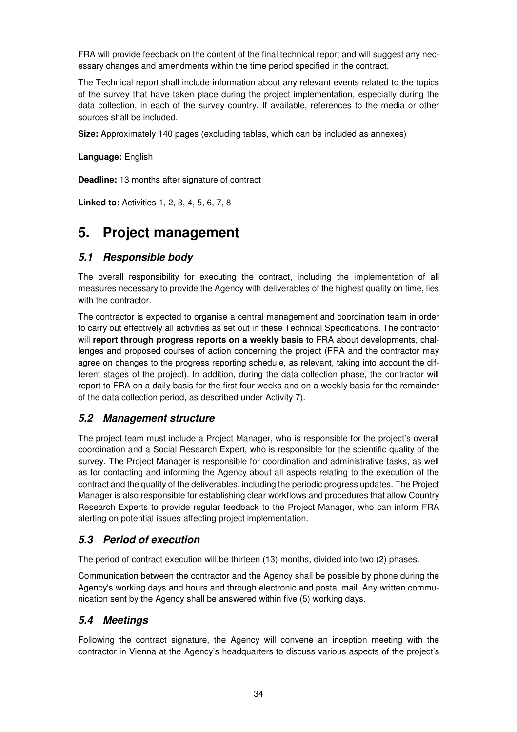FRA will provide feedback on the content of the final technical report and will suggest any necessary changes and amendments within the time period specified in the contract.

The Technical report shall include information about any relevant events related to the topics of the survey that have taken place during the project implementation, especially during the data collection, in each of the survey country. If available, references to the media or other sources shall be included.

**Size:** Approximately 140 pages (excluding tables, which can be included as annexes)

**Language:** English

**Deadline:** 13 months after signature of contract

**Linked to:** Activities 1, 2, 3, 4, 5, 6, 7, 8

## **5. Project management**

## **5.1 Responsible body**

The overall responsibility for executing the contract, including the implementation of all measures necessary to provide the Agency with deliverables of the highest quality on time, lies with the contractor.

The contractor is expected to organise a central management and coordination team in order to carry out effectively all activities as set out in these Technical Specifications. The contractor will **report through progress reports on a weekly basis** to FRA about developments, challenges and proposed courses of action concerning the project (FRA and the contractor may agree on changes to the progress reporting schedule, as relevant, taking into account the different stages of the project). In addition, during the data collection phase, the contractor will report to FRA on a daily basis for the first four weeks and on a weekly basis for the remainder of the data collection period, as described under Activity 7).

## **5.2 Management structure**

The project team must include a Project Manager, who is responsible for the project's overall coordination and a Social Research Expert, who is responsible for the scientific quality of the survey. The Project Manager is responsible for coordination and administrative tasks, as well as for contacting and informing the Agency about all aspects relating to the execution of the contract and the quality of the deliverables, including the periodic progress updates. The Project Manager is also responsible for establishing clear workflows and procedures that allow Country Research Experts to provide regular feedback to the Project Manager, who can inform FRA alerting on potential issues affecting project implementation.

## **5.3 Period of execution**

The period of contract execution will be thirteen (13) months, divided into two (2) phases.

Communication between the contractor and the Agency shall be possible by phone during the Agency's working days and hours and through electronic and postal mail. Any written communication sent by the Agency shall be answered within five (5) working days.

## **5.4 Meetings**

Following the contract signature, the Agency will convene an inception meeting with the contractor in Vienna at the Agency's headquarters to discuss various aspects of the project's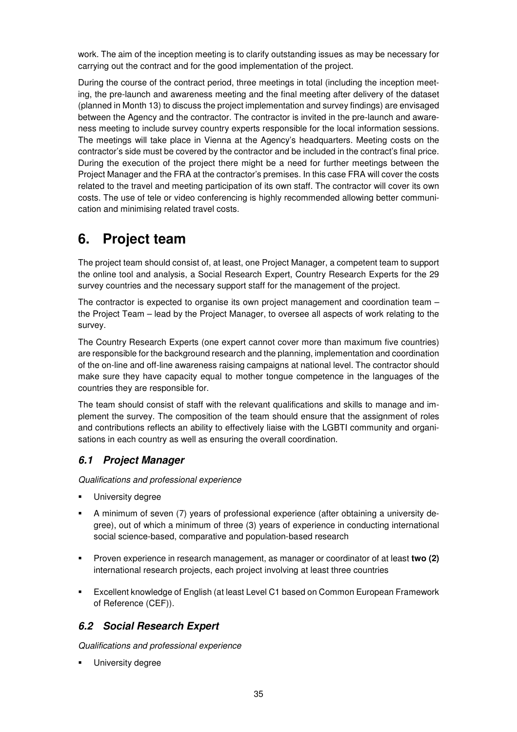work. The aim of the inception meeting is to clarify outstanding issues as may be necessary for carrying out the contract and for the good implementation of the project.

During the course of the contract period, three meetings in total (including the inception meeting, the pre-launch and awareness meeting and the final meeting after delivery of the dataset (planned in Month 13) to discuss the project implementation and survey findings) are envisaged between the Agency and the contractor. The contractor is invited in the pre-launch and awareness meeting to include survey country experts responsible for the local information sessions. The meetings will take place in Vienna at the Agency's headquarters. Meeting costs on the contractor's side must be covered by the contractor and be included in the contract's final price. During the execution of the project there might be a need for further meetings between the Project Manager and the FRA at the contractor's premises. In this case FRA will cover the costs related to the travel and meeting participation of its own staff. The contractor will cover its own costs. The use of tele or video conferencing is highly recommended allowing better communication and minimising related travel costs.

## **6. Project team**

The project team should consist of, at least, one Project Manager, a competent team to support the online tool and analysis, a Social Research Expert, Country Research Experts for the 29 survey countries and the necessary support staff for the management of the project.

The contractor is expected to organise its own project management and coordination team – the Project Team – lead by the Project Manager, to oversee all aspects of work relating to the survey.

The Country Research Experts (one expert cannot cover more than maximum five countries) are responsible for the background research and the planning, implementation and coordination of the on-line and off-line awareness raising campaigns at national level. The contractor should make sure they have capacity equal to mother tongue competence in the languages of the countries they are responsible for.

The team should consist of staff with the relevant qualifications and skills to manage and implement the survey. The composition of the team should ensure that the assignment of roles and contributions reflects an ability to effectively liaise with the LGBTI community and organisations in each country as well as ensuring the overall coordination.

## **6.1 Project Manager**

Qualifications and professional experience

- University degree
- A minimum of seven (7) years of professional experience (after obtaining a university degree), out of which a minimum of three (3) years of experience in conducting international social science-based, comparative and population-based research
- Proven experience in research management, as manager or coordinator of at least **two (2)**  international research projects, each project involving at least three countries
- Excellent knowledge of English (at least Level C1 based on Common European Framework of Reference (CEF)).

## **6.2 Social Research Expert**

Qualifications and professional experience

University degree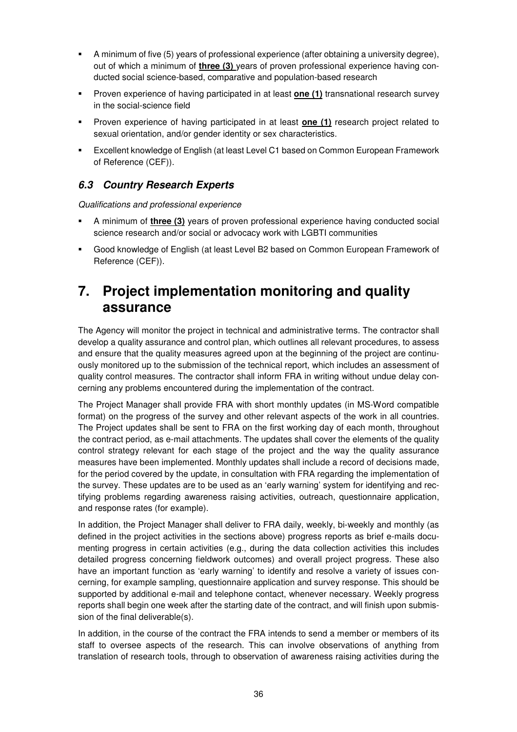- A minimum of five (5) years of professional experience (after obtaining a university degree), out of which a minimum of **three (3)** years of proven professional experience having conducted social science-based, comparative and population-based research
- Proven experience of having participated in at least **one (1)** transnational research survey in the social-science field
- **Proven experience of having participated in at least <b>one (1)** research project related to sexual orientation, and/or gender identity or sex characteristics.
- Excellent knowledge of English (at least Level C1 based on Common European Framework of Reference (CEF)).

## **6.3 Country Research Experts**

Qualifications and professional experience

- A minimum of **three (3)** years of proven professional experience having conducted social science research and/or social or advocacy work with LGBTI communities
- Good knowledge of English (at least Level B2 based on Common European Framework of Reference (CEF)).

## **7. Project implementation monitoring and quality assurance**

The Agency will monitor the project in technical and administrative terms. The contractor shall develop a quality assurance and control plan, which outlines all relevant procedures, to assess and ensure that the quality measures agreed upon at the beginning of the project are continuously monitored up to the submission of the technical report, which includes an assessment of quality control measures. The contractor shall inform FRA in writing without undue delay concerning any problems encountered during the implementation of the contract.

The Project Manager shall provide FRA with short monthly updates (in MS-Word compatible format) on the progress of the survey and other relevant aspects of the work in all countries. The Project updates shall be sent to FRA on the first working day of each month, throughout the contract period, as e-mail attachments. The updates shall cover the elements of the quality control strategy relevant for each stage of the project and the way the quality assurance measures have been implemented. Monthly updates shall include a record of decisions made, for the period covered by the update, in consultation with FRA regarding the implementation of the survey. These updates are to be used as an 'early warning' system for identifying and rectifying problems regarding awareness raising activities, outreach, questionnaire application, and response rates (for example).

In addition, the Project Manager shall deliver to FRA daily, weekly, bi-weekly and monthly (as defined in the project activities in the sections above) progress reports as brief e-mails documenting progress in certain activities (e.g., during the data collection activities this includes detailed progress concerning fieldwork outcomes) and overall project progress. These also have an important function as 'early warning' to identify and resolve a variety of issues concerning, for example sampling, questionnaire application and survey response. This should be supported by additional e-mail and telephone contact, whenever necessary. Weekly progress reports shall begin one week after the starting date of the contract, and will finish upon submission of the final deliverable(s).

In addition, in the course of the contract the FRA intends to send a member or members of its staff to oversee aspects of the research. This can involve observations of anything from translation of research tools, through to observation of awareness raising activities during the